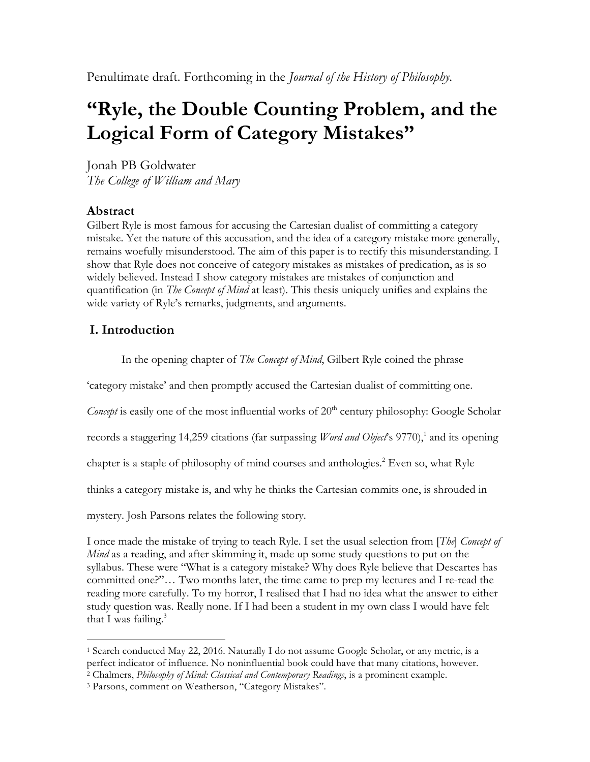# **"Ryle, the Double Counting Problem, and the Logical Form of Category Mistakes"**

Jonah PB Goldwater *The College of William and Mary*

## **Abstract**

Gilbert Ryle is most famous for accusing the Cartesian dualist of committing a category mistake. Yet the nature of this accusation, and the idea of a category mistake more generally, remains woefully misunderstood. The aim of this paper is to rectify this misunderstanding. I show that Ryle does not conceive of category mistakes as mistakes of predication, as is so widely believed. Instead I show category mistakes are mistakes of conjunction and quantification (in *The Concept of Mind* at least). This thesis uniquely unifies and explains the wide variety of Ryle's remarks, judgments, and arguments.

## **I. Introduction**

In the opening chapter of *The Concept of Mind*, Gilbert Ryle coined the phrase

'category mistake' and then promptly accused the Cartesian dualist of committing one.

*Concept* is easily one of the most influential works of 20<sup>th</sup> century philosophy: Google Scholar

records a staggering 14,259 citations (far surpassing *Word and Object*'s 9770),<sup>1</sup> and its opening

chapter is a staple of philosophy of mind courses and anthologies.<sup>2</sup> Even so, what Ryle

thinks a category mistake is, and why he thinks the Cartesian commits one, is shrouded in

mystery. Josh Parsons relates the following story.

I once made the mistake of trying to teach Ryle. I set the usual selection from [*The*] *Concept of Mind* as a reading, and after skimming it, made up some study questions to put on the syllabus. These were "What is a category mistake? Why does Ryle believe that Descartes has committed one?"… Two months later, the time came to prep my lectures and I re-read the reading more carefully. To my horror, I realised that I had no idea what the answer to either study question was. Really none. If I had been a student in my own class I would have felt that I was failing. $3$ 

 1 Search conducted May 22, 2016. Naturally I do not assume Google Scholar, or any metric, is a perfect indicator of influence. No noninfluential book could have that many citations, however. 2 Chalmers, *Philosophy of Mind: Classical and Contemporary Readings*, is a prominent example.

<sup>3</sup> Parsons, comment on Weatherson, "Category Mistakes".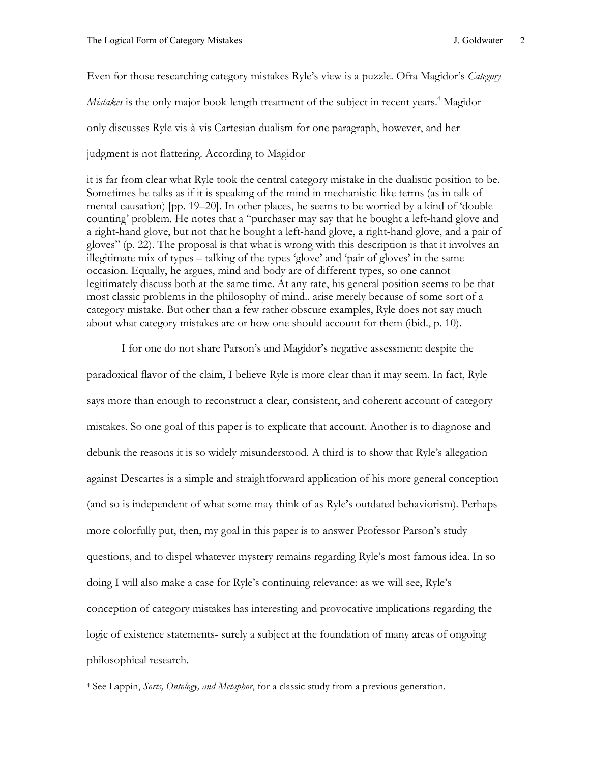Even for those researching category mistakes Ryle's view is a puzzle. Ofra Magidor's *Category*  Mistakes is the only major book-length treatment of the subject in recent years.<sup>4</sup> Magidor only discusses Ryle vis-à-vis Cartesian dualism for one paragraph, however, and her judgment is not flattering. According to Magidor

it is far from clear what Ryle took the central category mistake in the dualistic position to be. Sometimes he talks as if it is speaking of the mind in mechanistic-like terms (as in talk of mental causation) [pp. 19–20]. In other places, he seems to be worried by a kind of 'double counting' problem. He notes that a "purchaser may say that he bought a left-hand glove and a right-hand glove, but not that he bought a left-hand glove, a right-hand glove, and a pair of gloves" (p. 22). The proposal is that what is wrong with this description is that it involves an illegitimate mix of types – talking of the types 'glove' and 'pair of gloves' in the same occasion. Equally, he argues, mind and body are of different types, so one cannot legitimately discuss both at the same time. At any rate, his general position seems to be that most classic problems in the philosophy of mind.. arise merely because of some sort of a category mistake. But other than a few rather obscure examples, Ryle does not say much about what category mistakes are or how one should account for them (ibid., p. 10).

I for one do not share Parson's and Magidor's negative assessment: despite the

paradoxical flavor of the claim, I believe Ryle is more clear than it may seem. In fact, Ryle says more than enough to reconstruct a clear, consistent, and coherent account of category mistakes. So one goal of this paper is to explicate that account. Another is to diagnose and debunk the reasons it is so widely misunderstood. A third is to show that Ryle's allegation against Descartes is a simple and straightforward application of his more general conception (and so is independent of what some may think of as Ryle's outdated behaviorism). Perhaps more colorfully put, then, my goal in this paper is to answer Professor Parson's study questions, and to dispel whatever mystery remains regarding Ryle's most famous idea. In so doing I will also make a case for Ryle's continuing relevance: as we will see, Ryle's conception of category mistakes has interesting and provocative implications regarding the logic of existence statements- surely a subject at the foundation of many areas of ongoing philosophical research.

<sup>4</sup> See Lappin, *Sorts, Ontology, and Metaphor*, for a classic study from a previous generation.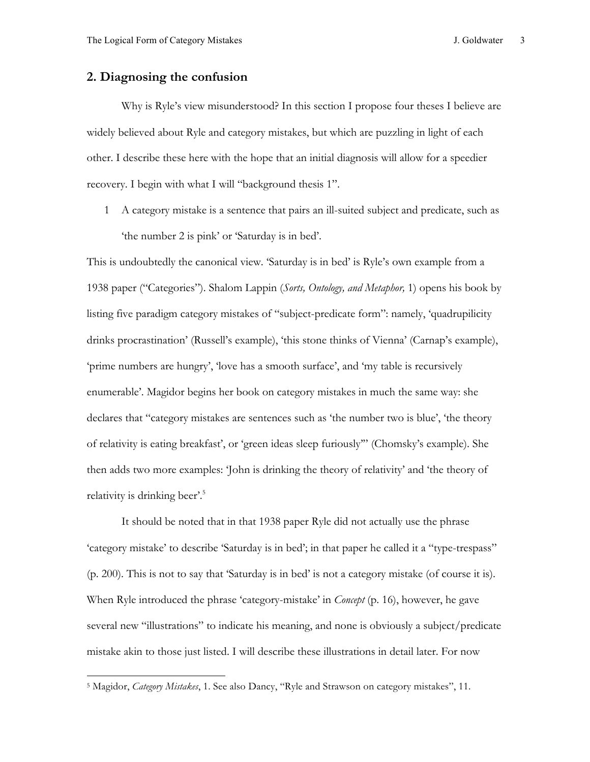## **2. Diagnosing the confusion**

Why is Ryle's view misunderstood? In this section I propose four theses I believe are widely believed about Ryle and category mistakes, but which are puzzling in light of each other. I describe these here with the hope that an initial diagnosis will allow for a speedier recovery. I begin with what I will "background thesis 1".

1 A category mistake is a sentence that pairs an ill-suited subject and predicate, such as 'the number 2 is pink' or 'Saturday is in bed'.

This is undoubtedly the canonical view. 'Saturday is in bed' is Ryle's own example from a 1938 paper ("Categories"). Shalom Lappin (*Sorts, Ontology, and Metaphor,* 1) opens his book by listing five paradigm category mistakes of "subject-predicate form": namely, 'quadrupilicity drinks procrastination' (Russell's example), 'this stone thinks of Vienna' (Carnap's example), 'prime numbers are hungry', 'love has a smooth surface', and 'my table is recursively enumerable'. Magidor begins her book on category mistakes in much the same way: she declares that "category mistakes are sentences such as 'the number two is blue', 'the theory of relativity is eating breakfast', or 'green ideas sleep furiously'" (Chomsky's example). She then adds two more examples: 'John is drinking the theory of relativity' and 'the theory of relativity is drinking beer'.<sup>5</sup>

It should be noted that in that 1938 paper Ryle did not actually use the phrase 'category mistake' to describe 'Saturday is in bed'; in that paper he called it a "type-trespass" (p. 200). This is not to say that 'Saturday is in bed' is not a category mistake (of course it is). When Ryle introduced the phrase 'category-mistake' in *Concept* (p. 16), however, he gave several new "illustrations" to indicate his meaning, and none is obviously a subject/predicate mistake akin to those just listed. I will describe these illustrations in detail later. For now

<sup>5</sup> Magidor, *Category Mistakes*, 1. See also Dancy, "Ryle and Strawson on category mistakes", 11.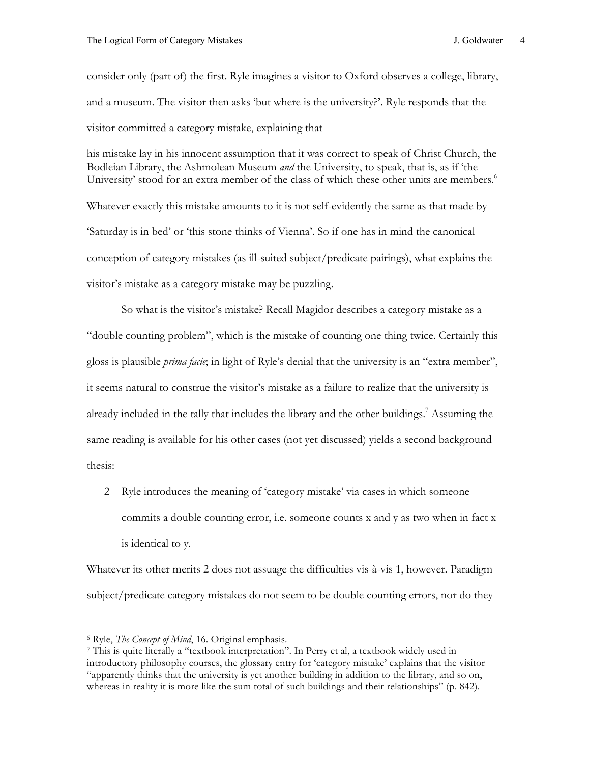consider only (part of) the first. Ryle imagines a visitor to Oxford observes a college, library, and a museum. The visitor then asks 'but where is the university?'. Ryle responds that the visitor committed a category mistake, explaining that

his mistake lay in his innocent assumption that it was correct to speak of Christ Church, the Bodleian Library, the Ashmolean Museum *and* the University, to speak, that is, as if 'the University' stood for an extra member of the class of which these other units are members.<sup>6</sup> Whatever exactly this mistake amounts to it is not self-evidently the same as that made by 'Saturday is in bed' or 'this stone thinks of Vienna'. So if one has in mind the canonical conception of category mistakes (as ill-suited subject/predicate pairings), what explains the visitor's mistake as a category mistake may be puzzling.

So what is the visitor's mistake? Recall Magidor describes a category mistake as a "double counting problem", which is the mistake of counting one thing twice. Certainly this gloss is plausible *prima facie*; in light of Ryle's denial that the university is an "extra member", it seems natural to construe the visitor's mistake as a failure to realize that the university is already included in the tally that includes the library and the other buildings.<sup>7</sup> Assuming the same reading is available for his other cases (not yet discussed) yields a second background thesis:

2 Ryle introduces the meaning of 'category mistake' via cases in which someone commits a double counting error, i.e. someone counts x and y as two when in fact x is identical to y.

Whatever its other merits 2 does not assuage the difficulties vis-à-vis 1, however. Paradigm subject/predicate category mistakes do not seem to be double counting errors, nor do they

<sup>6</sup> Ryle, *The Concept of Mind*, 16. Original emphasis.

<sup>7</sup> This is quite literally a "textbook interpretation". In Perry et al, a textbook widely used in introductory philosophy courses, the glossary entry for 'category mistake' explains that the visitor "apparently thinks that the university is yet another building in addition to the library, and so on, whereas in reality it is more like the sum total of such buildings and their relationships" (p. 842).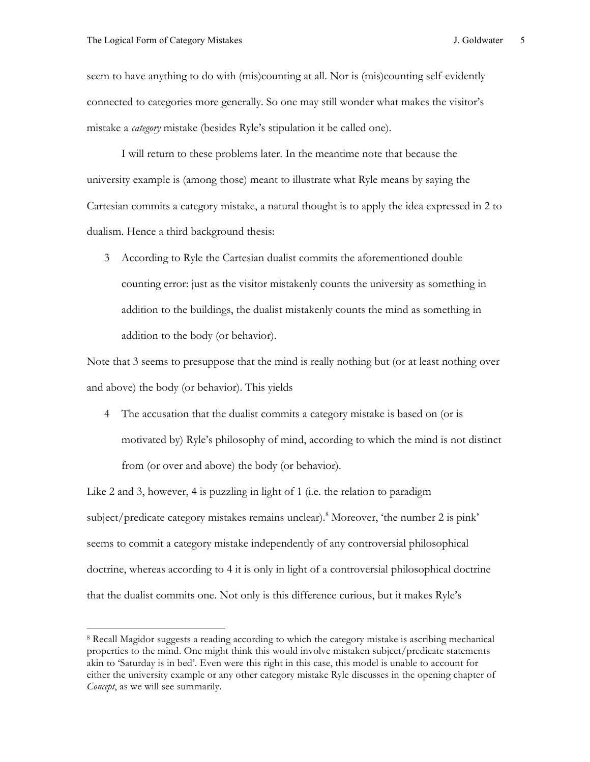seem to have anything to do with (mis)counting at all. Nor is (mis)counting self-evidently connected to categories more generally. So one may still wonder what makes the visitor's mistake a *category* mistake (besides Ryle's stipulation it be called one).

I will return to these problems later. In the meantime note that because the university example is (among those) meant to illustrate what Ryle means by saying the Cartesian commits a category mistake, a natural thought is to apply the idea expressed in 2 to dualism. Hence a third background thesis:

3 According to Ryle the Cartesian dualist commits the aforementioned double counting error: just as the visitor mistakenly counts the university as something in addition to the buildings, the dualist mistakenly counts the mind as something in addition to the body (or behavior).

Note that 3 seems to presuppose that the mind is really nothing but (or at least nothing over and above) the body (or behavior). This yields

4 The accusation that the dualist commits a category mistake is based on (or is motivated by) Ryle's philosophy of mind, according to which the mind is not distinct from (or over and above) the body (or behavior).

Like 2 and 3, however, 4 is puzzling in light of 1 (i.e. the relation to paradigm subject/predicate category mistakes remains unclear).<sup>8</sup> Moreover, 'the number 2 is pink' seems to commit a category mistake independently of any controversial philosophical doctrine, whereas according to 4 it is only in light of a controversial philosophical doctrine that the dualist commits one. Not only is this difference curious, but it makes Ryle's

<sup>8</sup> Recall Magidor suggests a reading according to which the category mistake is ascribing mechanical properties to the mind. One might think this would involve mistaken subject/predicate statements akin to 'Saturday is in bed'. Even were this right in this case, this model is unable to account for either the university example or any other category mistake Ryle discusses in the opening chapter of *Concept*, as we will see summarily.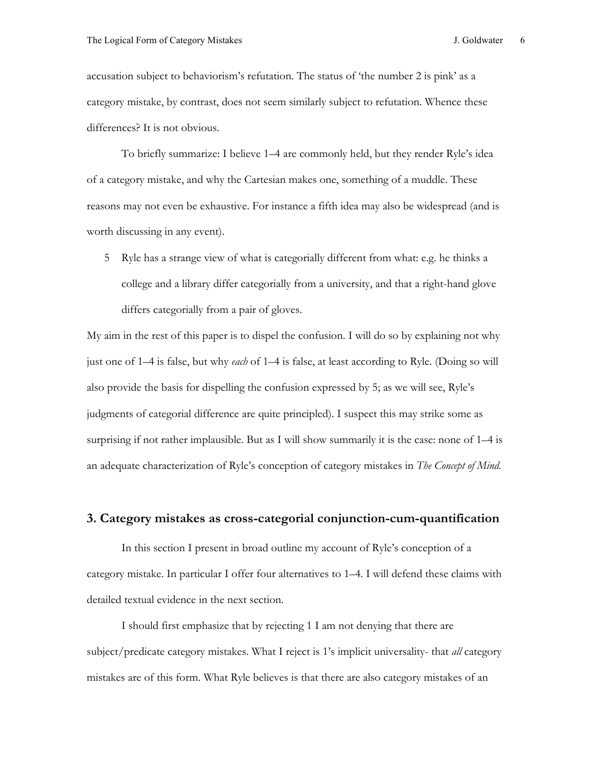accusation subject to behaviorism's refutation. The status of 'the number 2 is pink' as a category mistake, by contrast, does not seem similarly subject to refutation. Whence these differences? It is not obvious.

To briefly summarize: I believe 1–4 are commonly held, but they render Ryle's idea of a category mistake, and why the Cartesian makes one, something of a muddle. These reasons may not even be exhaustive. For instance a fifth idea may also be widespread (and is worth discussing in any event).

5 Ryle has a strange view of what is categorially different from what: e.g. he thinks a college and a library differ categorially from a university, and that a right-hand glove differs categorially from a pair of gloves.

My aim in the rest of this paper is to dispel the confusion. I will do so by explaining not why just one of 1–4 is false, but why *each* of 1–4 is false, at least according to Ryle. (Doing so will also provide the basis for dispelling the confusion expressed by 5; as we will see, Ryle's judgments of categorial difference are quite principled). I suspect this may strike some as surprising if not rather implausible. But as I will show summarily it is the case: none of 1–4 is an adequate characterization of Ryle's conception of category mistakes in *The Concept of Mind*.

## **3. Category mistakes as cross-categorial conjunction-cum-quantification**

In this section I present in broad outline my account of Ryle's conception of a category mistake. In particular I offer four alternatives to 1–4. I will defend these claims with detailed textual evidence in the next section.

I should first emphasize that by rejecting 1 I am not denying that there are subject/predicate category mistakes. What I reject is 1's implicit universality- that *all* category mistakes are of this form. What Ryle believes is that there are also category mistakes of an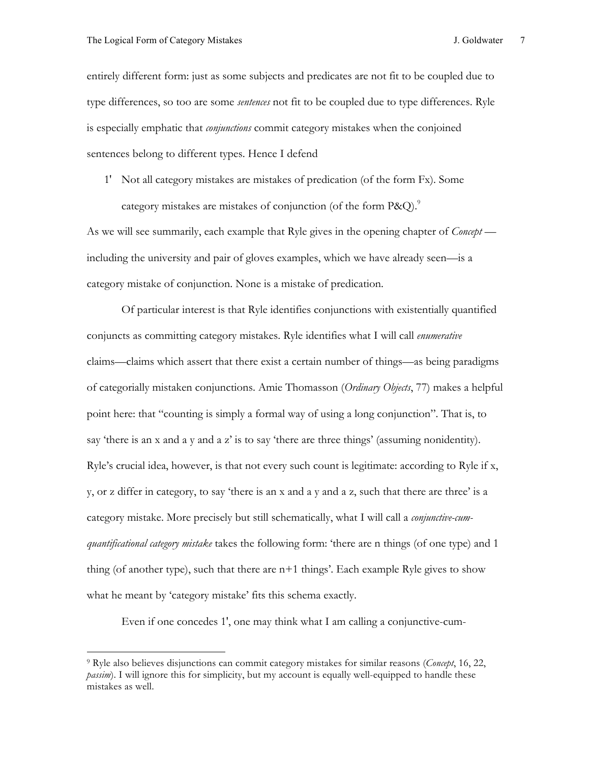entirely different form: just as some subjects and predicates are not fit to be coupled due to type differences, so too are some *sentences* not fit to be coupled due to type differences. Ryle is especially emphatic that *conjunctions* commit category mistakes when the conjoined sentences belong to different types. Hence I defend

1' Not all category mistakes are mistakes of predication (of the form Fx). Some category mistakes are mistakes of conjunction (of the form  $P\&Q$ ).<sup>9</sup>

As we will see summarily, each example that Ryle gives in the opening chapter of *Concept*  including the university and pair of gloves examples, which we have already seen—is a category mistake of conjunction. None is a mistake of predication.

Of particular interest is that Ryle identifies conjunctions with existentially quantified conjuncts as committing category mistakes. Ryle identifies what I will call *enumerative* claims—claims which assert that there exist a certain number of things—as being paradigms of categorially mistaken conjunctions. Amie Thomasson (*Ordinary Objects*, 77) makes a helpful point here: that "counting is simply a formal way of using a long conjunction". That is, to say 'there is an x and a y and a z' is to say 'there are three things' (assuming nonidentity). Ryle's crucial idea, however, is that not every such count is legitimate: according to Ryle if x, y, or z differ in category, to say 'there is an x and a y and a z, such that there are three' is a category mistake. More precisely but still schematically, what I will call a *conjunctive-cumquantificational category mistake* takes the following form: 'there are n things (of one type) and 1 thing (of another type), such that there are  $n+1$  things'. Each example Ryle gives to show what he meant by 'category mistake' fits this schema exactly.

Even if one concedes 1', one may think what I am calling a conjunctive-cum-

<sup>9</sup> Ryle also believes disjunctions can commit category mistakes for similar reasons (*Concept*, 16, 22, *passim*). I will ignore this for simplicity, but my account is equally well-equipped to handle these mistakes as well.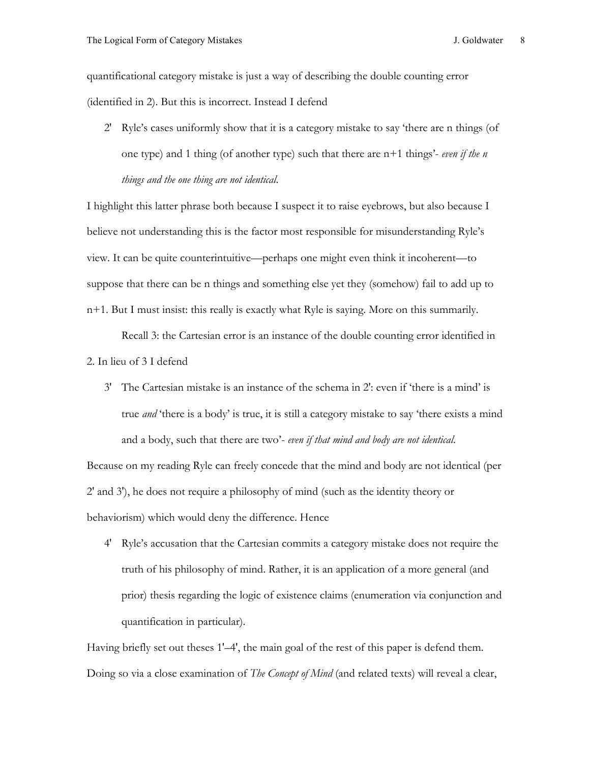quantificational category mistake is just a way of describing the double counting error (identified in 2). But this is incorrect. Instead I defend

2' Ryle's cases uniformly show that it is a category mistake to say 'there are n things (of one type) and 1 thing (of another type) such that there are n+1 things'- *even if the n things and the one thing are not identical*.

I highlight this latter phrase both because I suspect it to raise eyebrows, but also because I believe not understanding this is the factor most responsible for misunderstanding Ryle's view. It can be quite counterintuitive—perhaps one might even think it incoherent—to suppose that there can be n things and something else yet they (somehow) fail to add up to n+1. But I must insist: this really is exactly what Ryle is saying. More on this summarily.

Recall 3: the Cartesian error is an instance of the double counting error identified in 2. In lieu of 3 I defend

3' The Cartesian mistake is an instance of the schema in 2': even if 'there is a mind' is true *and* 'there is a body' is true, it is still a category mistake to say 'there exists a mind and a body, such that there are two'- *even if that mind and body are not identical*.

Because on my reading Ryle can freely concede that the mind and body are not identical (per 2' and 3'), he does not require a philosophy of mind (such as the identity theory or behaviorism) which would deny the difference. Hence

4' Ryle's accusation that the Cartesian commits a category mistake does not require the truth of his philosophy of mind. Rather, it is an application of a more general (and prior) thesis regarding the logic of existence claims (enumeration via conjunction and quantification in particular).

Having briefly set out theses 1'–4', the main goal of the rest of this paper is defend them. Doing so via a close examination of *The Concept of Mind* (and related texts) will reveal a clear,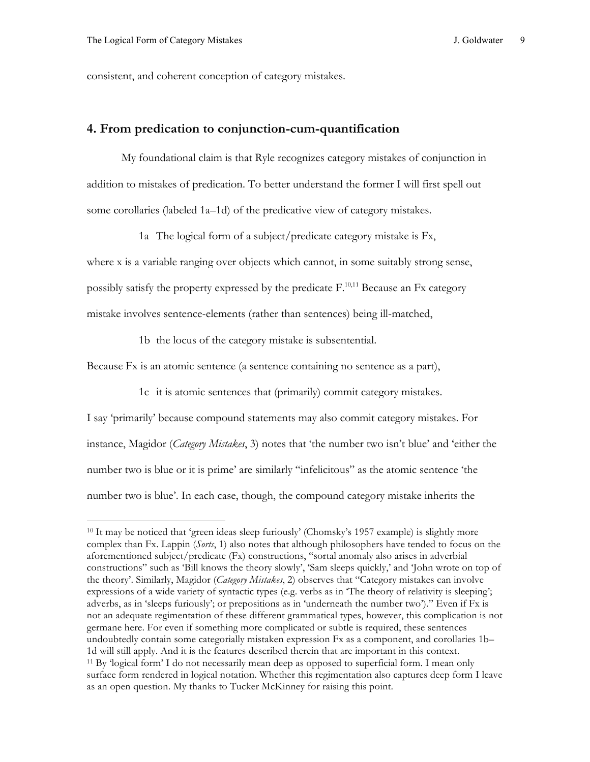consistent, and coherent conception of category mistakes.

## **4. From predication to conjunction-cum-quantification**

My foundational claim is that Ryle recognizes category mistakes of conjunction in addition to mistakes of predication. To better understand the former I will first spell out some corollaries (labeled 1a–1d) of the predicative view of category mistakes.

1a The logical form of a subject/predicate category mistake is Fx, where x is a variable ranging over objects which cannot, in some suitably strong sense, possibly satisfy the property expressed by the predicate  $F^{10,11}$  Because an Fx category mistake involves sentence-elements (rather than sentences) being ill-matched,

1b the locus of the category mistake is subsentential.

Because Fx is an atomic sentence (a sentence containing no sentence as a part),

1c it is atomic sentences that (primarily) commit category mistakes.

I say 'primarily' because compound statements may also commit category mistakes. For instance, Magidor (*Category Mistakes*, 3) notes that 'the number two isn't blue' and 'either the number two is blue or it is prime' are similarly "infelicitous" as the atomic sentence 'the number two is blue'. In each case, though, the compound category mistake inherits the

<sup>10</sup> It may be noticed that 'green ideas sleep furiously' (Chomsky's 1957 example) is slightly more complex than Fx. Lappin (*Sorts*, 1) also notes that although philosophers have tended to focus on the aforementioned subject/predicate (Fx) constructions, "sortal anomaly also arises in adverbial constructions" such as 'Bill knows the theory slowly', 'Sam sleeps quickly,' and 'John wrote on top of the theory'. Similarly, Magidor (*Category Mistakes*, 2) observes that "Category mistakes can involve expressions of a wide variety of syntactic types (e.g. verbs as in 'The theory of relativity is sleeping'; adverbs, as in 'sleeps furiously'; or prepositions as in 'underneath the number two')." Even if Fx is not an adequate regimentation of these different grammatical types, however, this complication is not germane here. For even if something more complicated or subtle is required, these sentences undoubtedly contain some categorially mistaken expression Fx as a component, and corollaries 1b– 1d will still apply. And it is the features described therein that are important in this context. 11 By 'logical form' I do not necessarily mean deep as opposed to superficial form. I mean only surface form rendered in logical notation. Whether this regimentation also captures deep form I leave as an open question. My thanks to Tucker McKinney for raising this point.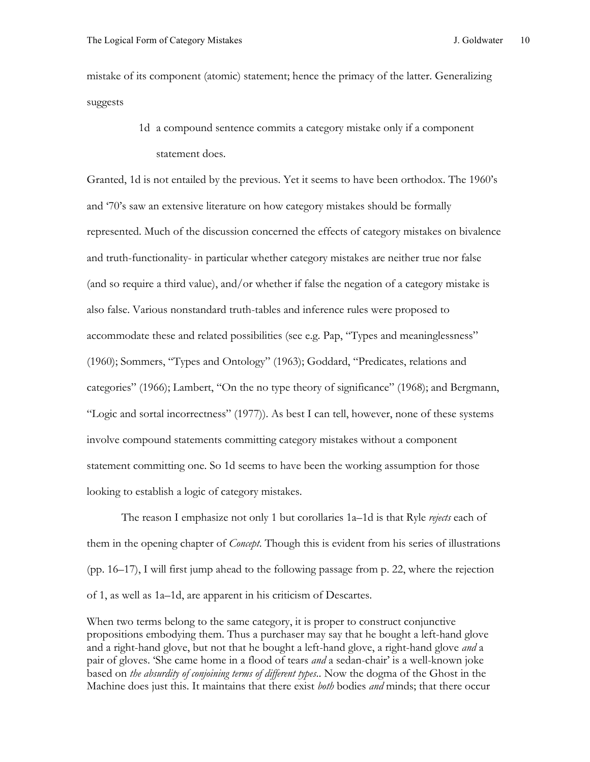mistake of its component (atomic) statement; hence the primacy of the latter. Generalizing suggests

> 1d a compound sentence commits a category mistake only if a component statement does.

Granted, 1d is not entailed by the previous. Yet it seems to have been orthodox. The 1960's and '70's saw an extensive literature on how category mistakes should be formally represented. Much of the discussion concerned the effects of category mistakes on bivalence and truth-functionality- in particular whether category mistakes are neither true nor false (and so require a third value), and/or whether if false the negation of a category mistake is also false. Various nonstandard truth-tables and inference rules were proposed to accommodate these and related possibilities (see e.g. Pap, "Types and meaninglessness" (1960); Sommers, "Types and Ontology" (1963); Goddard, "Predicates, relations and categories" (1966); Lambert, "On the no type theory of significance" (1968); and Bergmann, "Logic and sortal incorrectness" (1977)). As best I can tell, however, none of these systems involve compound statements committing category mistakes without a component statement committing one. So 1d seems to have been the working assumption for those looking to establish a logic of category mistakes.

The reason I emphasize not only 1 but corollaries 1a–1d is that Ryle *rejects* each of them in the opening chapter of *Concept*. Though this is evident from his series of illustrations (pp. 16–17), I will first jump ahead to the following passage from p. 22, where the rejection of 1, as well as 1a–1d, are apparent in his criticism of Descartes.

When two terms belong to the same category, it is proper to construct conjunctive propositions embodying them. Thus a purchaser may say that he bought a left-hand glove and a right-hand glove, but not that he bought a left-hand glove, a right-hand glove *and* a pair of gloves. 'She came home in a flood of tears *and* a sedan-chair' is a well-known joke based on *the absurdity of conjoining terms of different types*.. Now the dogma of the Ghost in the Machine does just this. It maintains that there exist *both* bodies *and* minds; that there occur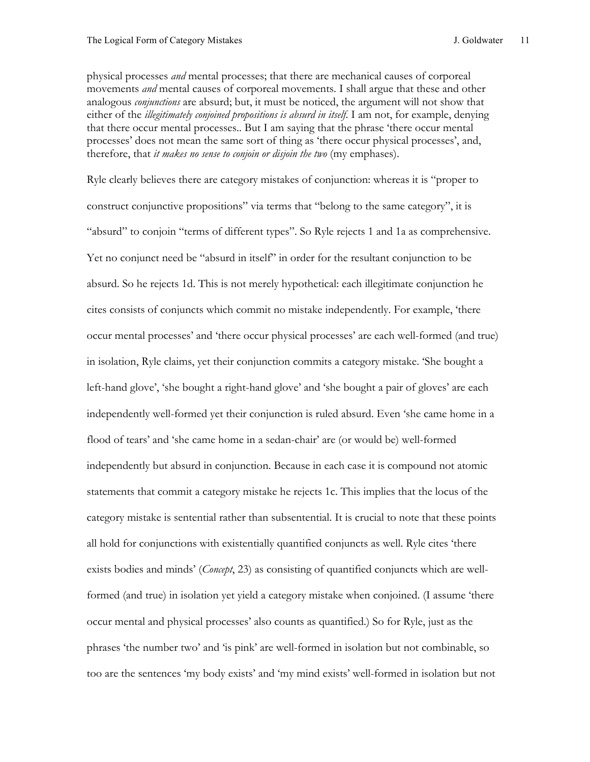physical processes *and* mental processes; that there are mechanical causes of corporeal movements *and* mental causes of corporeal movements. I shall argue that these and other analogous *conjunctions* are absurd; but, it must be noticed, the argument will not show that either of the *illegitimately conjoined propositions is absurd in itself*. I am not, for example, denying that there occur mental processes.. But I am saying that the phrase 'there occur mental processes' does not mean the same sort of thing as 'there occur physical processes', and, therefore, that *it makes no sense to conjoin or disjoin the two* (my emphases).

Ryle clearly believes there are category mistakes of conjunction: whereas it is "proper to construct conjunctive propositions" via terms that "belong to the same category", it is "absurd" to conjoin "terms of different types". So Ryle rejects 1 and 1a as comprehensive. Yet no conjunct need be "absurd in itself" in order for the resultant conjunction to be absurd. So he rejects 1d. This is not merely hypothetical: each illegitimate conjunction he cites consists of conjuncts which commit no mistake independently. For example, 'there occur mental processes' and 'there occur physical processes' are each well-formed (and true) in isolation, Ryle claims, yet their conjunction commits a category mistake. 'She bought a left-hand glove', 'she bought a right-hand glove' and 'she bought a pair of gloves' are each independently well-formed yet their conjunction is ruled absurd. Even 'she came home in a flood of tears' and 'she came home in a sedan-chair' are (or would be) well-formed independently but absurd in conjunction. Because in each case it is compound not atomic statements that commit a category mistake he rejects 1c. This implies that the locus of the category mistake is sentential rather than subsentential. It is crucial to note that these points all hold for conjunctions with existentially quantified conjuncts as well. Ryle cites 'there exists bodies and minds' (*Concept*, 23) as consisting of quantified conjuncts which are wellformed (and true) in isolation yet yield a category mistake when conjoined. (I assume 'there occur mental and physical processes' also counts as quantified.) So for Ryle, just as the phrases 'the number two' and 'is pink' are well-formed in isolation but not combinable, so too are the sentences 'my body exists' and 'my mind exists' well-formed in isolation but not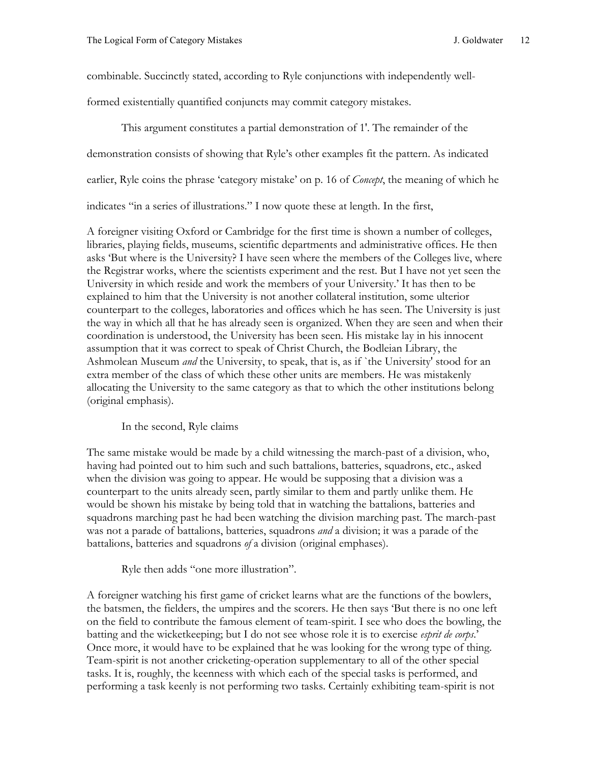combinable. Succinctly stated, according to Ryle conjunctions with independently well-

formed existentially quantified conjuncts may commit category mistakes.

This argument constitutes a partial demonstration of 1'. The remainder of the demonstration consists of showing that Ryle's other examples fit the pattern. As indicated earlier, Ryle coins the phrase 'category mistake' on p. 16 of *Concept*, the meaning of which he indicates "in a series of illustrations." I now quote these at length. In the first,

A foreigner visiting Oxford or Cambridge for the first time is shown a number of colleges, libraries, playing fields, museums, scientific departments and administrative offices. He then asks 'But where is the University? I have seen where the members of the Colleges live, where the Registrar works, where the scientists experiment and the rest. But I have not yet seen the University in which reside and work the members of your University.' It has then to be explained to him that the University is not another collateral institution, some ulterior counterpart to the colleges, laboratories and offices which he has seen. The University is just the way in which all that he has already seen is organized. When they are seen and when their coordination is understood, the University has been seen. His mistake lay in his innocent assumption that it was correct to speak of Christ Church, the Bodleian Library, the Ashmolean Museum *and* the University, to speak, that is, as if `the University' stood for an extra member of the class of which these other units are members. He was mistakenly allocating the University to the same category as that to which the other institutions belong (original emphasis).

In the second, Ryle claims

The same mistake would be made by a child witnessing the march-past of a division, who, having had pointed out to him such and such battalions, batteries, squadrons, etc., asked when the division was going to appear. He would be supposing that a division was a counterpart to the units already seen, partly similar to them and partly unlike them. He would be shown his mistake by being told that in watching the battalions, batteries and squadrons marching past he had been watching the division marching past. The march-past was not a parade of battalions, batteries, squadrons *and* a division; it was a parade of the battalions, batteries and squadrons *of* a division (original emphases).

Ryle then adds "one more illustration".

A foreigner watching his first game of cricket learns what are the functions of the bowlers, the batsmen, the fielders, the umpires and the scorers. He then says 'But there is no one left on the field to contribute the famous element of team-spirit. I see who does the bowling, the batting and the wicketkeeping; but I do not see whose role it is to exercise *esprit de corps*.' Once more, it would have to be explained that he was looking for the wrong type of thing. Team-spirit is not another cricketing-operation supplementary to all of the other special tasks. It is, roughly, the keenness with which each of the special tasks is performed, and performing a task keenly is not performing two tasks. Certainly exhibiting team-spirit is not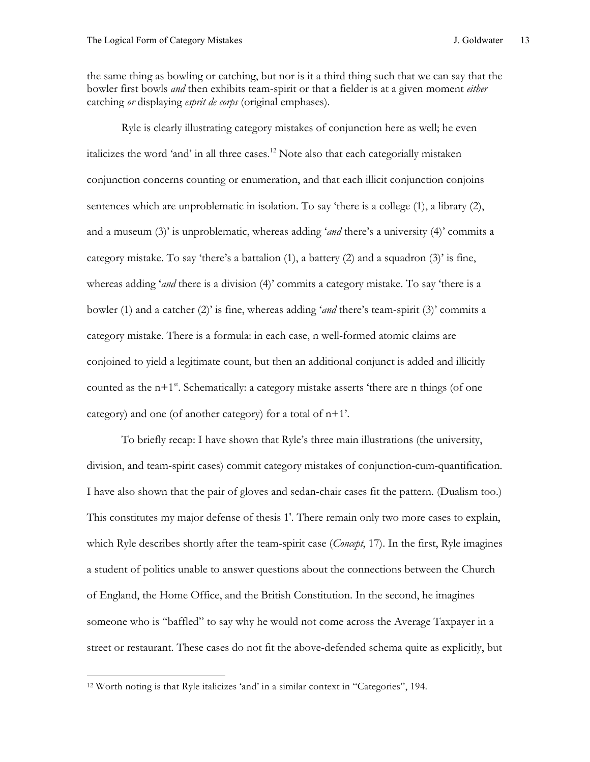the same thing as bowling or catching, but nor is it a third thing such that we can say that the bowler first bowls *and* then exhibits team-spirit or that a fielder is at a given moment *either* catching *or* displaying *esprit de corps* (original emphases).

Ryle is clearly illustrating category mistakes of conjunction here as well; he even italicizes the word 'and' in all three cases.<sup>12</sup> Note also that each categorially mistaken conjunction concerns counting or enumeration, and that each illicit conjunction conjoins sentences which are unproblematic in isolation. To say 'there is a college (1), a library (2), and a museum (3)' is unproblematic, whereas adding '*and* there's a university (4)' commits a category mistake. To say 'there's a battalion  $(1)$ , a battery  $(2)$  and a squadron  $(3)$ ' is fine, whereas adding '*and* there is a division (4)' commits a category mistake. To say 'there is a bowler (1) and a catcher (2)' is fine, whereas adding '*and* there's team-spirit (3)' commits a category mistake. There is a formula: in each case, n well-formed atomic claims are conjoined to yield a legitimate count, but then an additional conjunct is added and illicitly counted as the  $n+1$ <sup>st</sup>. Schematically: a category mistake asserts 'there are n things (of one category) and one (of another category) for a total of  $n+1$ '.

To briefly recap: I have shown that Ryle's three main illustrations (the university, division, and team-spirit cases) commit category mistakes of conjunction-cum-quantification. I have also shown that the pair of gloves and sedan-chair cases fit the pattern. (Dualism too.) This constitutes my major defense of thesis 1'. There remain only two more cases to explain, which Ryle describes shortly after the team-spirit case (*Concept*, 17). In the first, Ryle imagines a student of politics unable to answer questions about the connections between the Church of England, the Home Office, and the British Constitution. In the second, he imagines someone who is "baffled" to say why he would not come across the Average Taxpayer in a street or restaurant. These cases do not fit the above-defended schema quite as explicitly, but

<sup>12</sup> Worth noting is that Ryle italicizes 'and' in a similar context in "Categories", 194.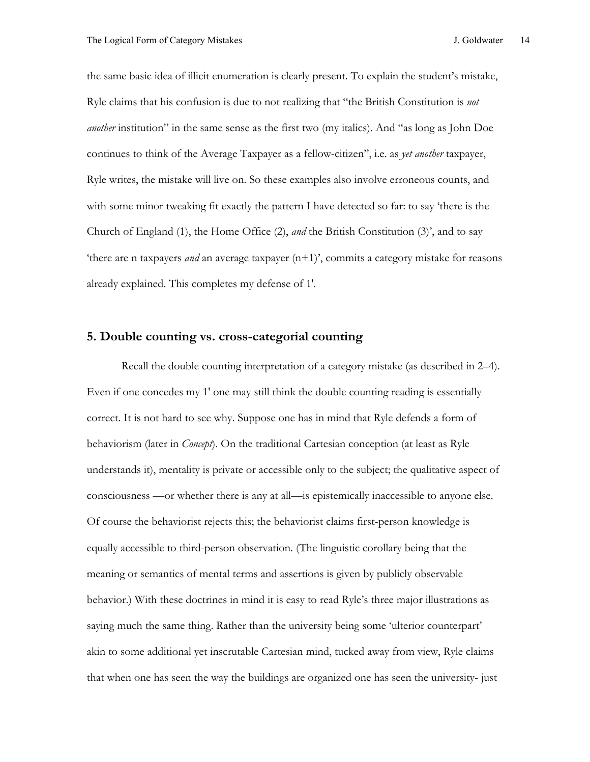the same basic idea of illicit enumeration is clearly present. To explain the student's mistake, Ryle claims that his confusion is due to not realizing that "the British Constitution is *not another* institution" in the same sense as the first two (my italics). And "as long as John Doe continues to think of the Average Taxpayer as a fellow-citizen", i.e. as *yet another* taxpayer, Ryle writes, the mistake will live on. So these examples also involve erroneous counts, and with some minor tweaking fit exactly the pattern I have detected so far: to say 'there is the Church of England (1), the Home Office (2), *and* the British Constitution (3)', and to say 'there are n taxpayers *and* an average taxpayer (n+1)', commits a category mistake for reasons already explained. This completes my defense of 1'.

## **5. Double counting vs. cross-categorial counting**

Recall the double counting interpretation of a category mistake (as described in 2–4). Even if one concedes my 1' one may still think the double counting reading is essentially correct. It is not hard to see why. Suppose one has in mind that Ryle defends a form of behaviorism (later in *Concept*). On the traditional Cartesian conception (at least as Ryle understands it), mentality is private or accessible only to the subject; the qualitative aspect of consciousness —or whether there is any at all—is epistemically inaccessible to anyone else. Of course the behaviorist rejects this; the behaviorist claims first-person knowledge is equally accessible to third-person observation. (The linguistic corollary being that the meaning or semantics of mental terms and assertions is given by publicly observable behavior.) With these doctrines in mind it is easy to read Ryle's three major illustrations as saying much the same thing. Rather than the university being some 'ulterior counterpart' akin to some additional yet inscrutable Cartesian mind, tucked away from view, Ryle claims that when one has seen the way the buildings are organized one has seen the university- just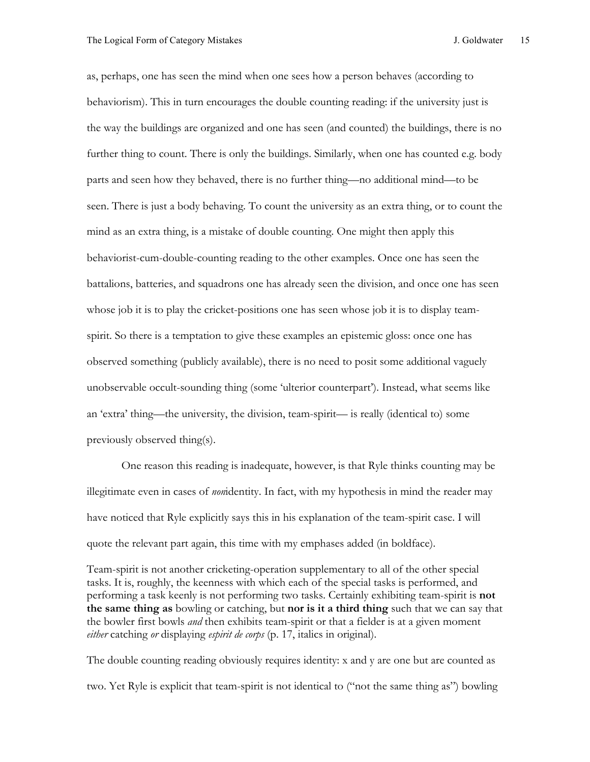as, perhaps, one has seen the mind when one sees how a person behaves (according to behaviorism). This in turn encourages the double counting reading: if the university just is the way the buildings are organized and one has seen (and counted) the buildings, there is no further thing to count. There is only the buildings. Similarly, when one has counted e.g. body parts and seen how they behaved, there is no further thing—no additional mind—to be seen. There is just a body behaving. To count the university as an extra thing, or to count the mind as an extra thing, is a mistake of double counting. One might then apply this behaviorist-cum-double-counting reading to the other examples. Once one has seen the battalions, batteries, and squadrons one has already seen the division, and once one has seen whose job it is to play the cricket-positions one has seen whose job it is to display teamspirit. So there is a temptation to give these examples an epistemic gloss: once one has observed something (publicly available), there is no need to posit some additional vaguely unobservable occult-sounding thing (some 'ulterior counterpart'). Instead, what seems like an 'extra' thing—the university, the division, team-spirit— is really (identical to) some previously observed thing(s).

One reason this reading is inadequate, however, is that Ryle thinks counting may be illegitimate even in cases of *non*identity. In fact, with my hypothesis in mind the reader may have noticed that Ryle explicitly says this in his explanation of the team-spirit case. I will quote the relevant part again, this time with my emphases added (in boldface).

Team-spirit is not another cricketing-operation supplementary to all of the other special tasks. It is, roughly, the keenness with which each of the special tasks is performed, and performing a task keenly is not performing two tasks. Certainly exhibiting team-spirit is **not the same thing as** bowling or catching, but **nor is it a third thing** such that we can say that the bowler first bowls *and* then exhibits team-spirit or that a fielder is at a given moment *either* catching *or* displaying *espirit de corps* (p. 17, italics in original).

The double counting reading obviously requires identity: x and y are one but are counted as two. Yet Ryle is explicit that team-spirit is not identical to ("not the same thing as") bowling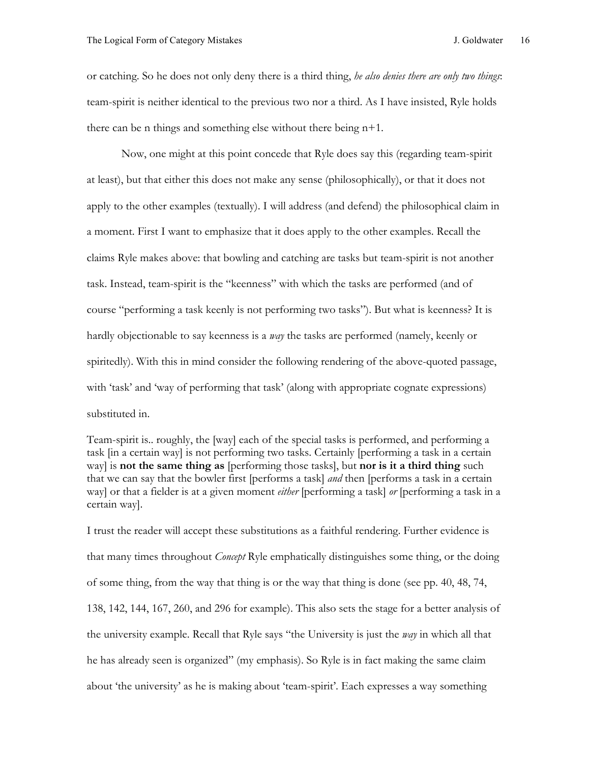or catching. So he does not only deny there is a third thing, *he also denies there are only two things*: team-spirit is neither identical to the previous two nor a third. As I have insisted, Ryle holds there can be n things and something else without there being n+1.

Now, one might at this point concede that Ryle does say this (regarding team-spirit at least), but that either this does not make any sense (philosophically), or that it does not apply to the other examples (textually). I will address (and defend) the philosophical claim in a moment. First I want to emphasize that it does apply to the other examples. Recall the claims Ryle makes above: that bowling and catching are tasks but team-spirit is not another task. Instead, team-spirit is the "keenness" with which the tasks are performed (and of course "performing a task keenly is not performing two tasks"). But what is keenness? It is hardly objectionable to say keenness is a *way* the tasks are performed (namely, keenly or spiritedly). With this in mind consider the following rendering of the above-quoted passage, with 'task' and 'way of performing that task' (along with appropriate cognate expressions) substituted in.

Team-spirit is.. roughly, the [way] each of the special tasks is performed, and performing a task [in a certain way] is not performing two tasks. Certainly [performing a task in a certain way] is **not the same thing as** [performing those tasks], but **nor is it a third thing** such that we can say that the bowler first [performs a task] *and* then [performs a task in a certain way] or that a fielder is at a given moment *either* [performing a task] *or* [performing a task in a certain way].

I trust the reader will accept these substitutions as a faithful rendering. Further evidence is that many times throughout *Concept* Ryle emphatically distinguishes some thing, or the doing of some thing, from the way that thing is or the way that thing is done (see pp. 40, 48, 74, 138, 142, 144, 167, 260, and 296 for example). This also sets the stage for a better analysis of the university example. Recall that Ryle says "the University is just the *way* in which all that he has already seen is organized" (my emphasis). So Ryle is in fact making the same claim about 'the university' as he is making about 'team-spirit'. Each expresses a way something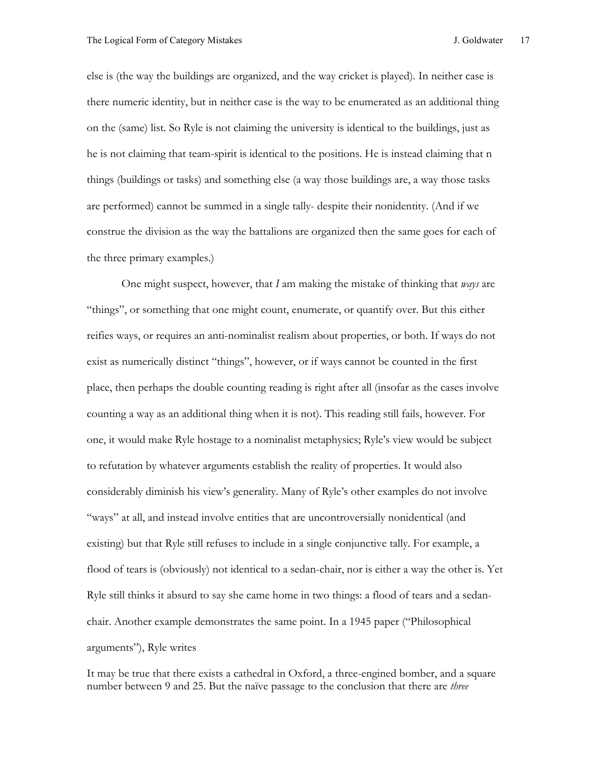else is (the way the buildings are organized, and the way cricket is played). In neither case is there numeric identity, but in neither case is the way to be enumerated as an additional thing on the (same) list. So Ryle is not claiming the university is identical to the buildings, just as he is not claiming that team-spirit is identical to the positions. He is instead claiming that n things (buildings or tasks) and something else (a way those buildings are, a way those tasks are performed) cannot be summed in a single tally- despite their nonidentity. (And if we construe the division as the way the battalions are organized then the same goes for each of the three primary examples.)

One might suspect, however, that *I* am making the mistake of thinking that *ways* are "things", or something that one might count, enumerate, or quantify over. But this either reifies ways, or requires an anti-nominalist realism about properties, or both. If ways do not exist as numerically distinct "things", however, or if ways cannot be counted in the first place, then perhaps the double counting reading is right after all (insofar as the cases involve counting a way as an additional thing when it is not). This reading still fails, however. For one, it would make Ryle hostage to a nominalist metaphysics; Ryle's view would be subject to refutation by whatever arguments establish the reality of properties. It would also considerably diminish his view's generality. Many of Ryle's other examples do not involve "ways" at all, and instead involve entities that are uncontroversially nonidentical (and existing) but that Ryle still refuses to include in a single conjunctive tally. For example, a flood of tears is (obviously) not identical to a sedan-chair, nor is either a way the other is. Yet Ryle still thinks it absurd to say she came home in two things: a flood of tears and a sedanchair. Another example demonstrates the same point. In a 1945 paper ("Philosophical arguments"), Ryle writes

It may be true that there exists a cathedral in Oxford, a three-engined bomber, and a square number between 9 and 25. But the naïve passage to the conclusion that there are *three*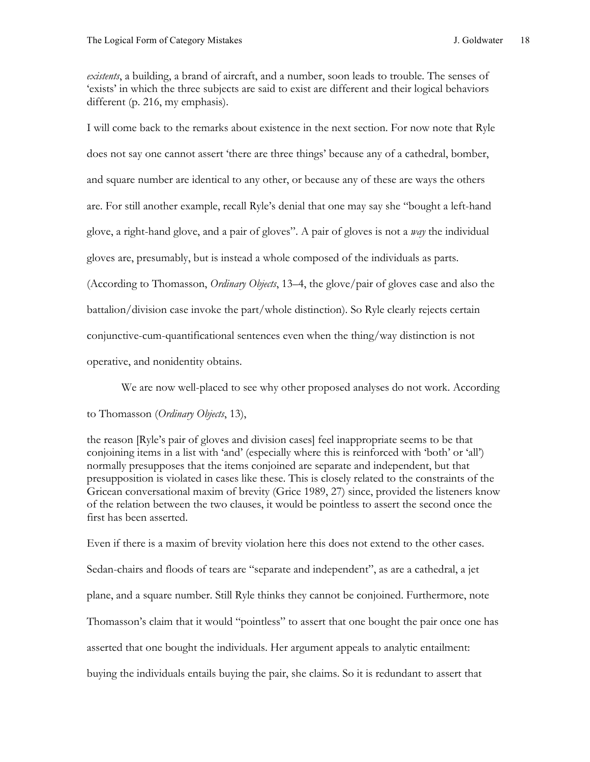*existents*, a building, a brand of aircraft, and a number, soon leads to trouble. The senses of 'exists' in which the three subjects are said to exist are different and their logical behaviors different (p. 216, my emphasis).

I will come back to the remarks about existence in the next section. For now note that Ryle does not say one cannot assert 'there are three things' because any of a cathedral, bomber, and square number are identical to any other, or because any of these are ways the others are. For still another example, recall Ryle's denial that one may say she "bought a left-hand glove, a right-hand glove, and a pair of gloves". A pair of gloves is not a *way* the individual gloves are, presumably, but is instead a whole composed of the individuals as parts. (According to Thomasson, *Ordinary Objects*, 13–4, the glove/pair of gloves case and also the battalion/division case invoke the part/whole distinction). So Ryle clearly rejects certain conjunctive-cum-quantificational sentences even when the thing/way distinction is not operative, and nonidentity obtains.

We are now well-placed to see why other proposed analyses do not work. According to Thomasson (*Ordinary Objects*, 13),

the reason [Ryle's pair of gloves and division cases] feel inappropriate seems to be that conjoining items in a list with 'and' (especially where this is reinforced with 'both' or 'all') normally presupposes that the items conjoined are separate and independent, but that presupposition is violated in cases like these. This is closely related to the constraints of the Gricean conversational maxim of brevity (Grice 1989, 27) since, provided the listeners know of the relation between the two clauses, it would be pointless to assert the second once the first has been asserted.

Even if there is a maxim of brevity violation here this does not extend to the other cases. Sedan-chairs and floods of tears are "separate and independent", as are a cathedral, a jet plane, and a square number. Still Ryle thinks they cannot be conjoined. Furthermore, note Thomasson's claim that it would "pointless" to assert that one bought the pair once one has asserted that one bought the individuals. Her argument appeals to analytic entailment: buying the individuals entails buying the pair, she claims. So it is redundant to assert that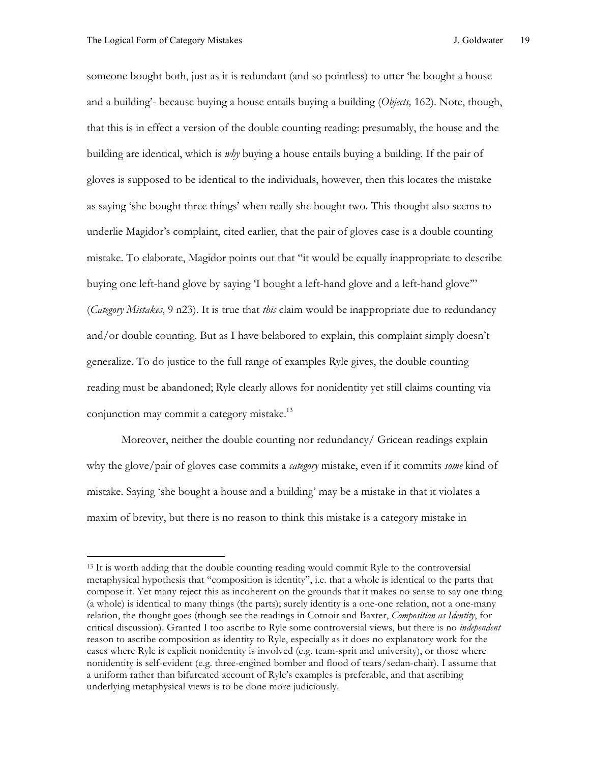someone bought both, just as it is redundant (and so pointless) to utter 'he bought a house and a building'- because buying a house entails buying a building (*Objects,* 162). Note, though, that this is in effect a version of the double counting reading: presumably, the house and the building are identical, which is *why* buying a house entails buying a building. If the pair of gloves is supposed to be identical to the individuals, however, then this locates the mistake as saying 'she bought three things' when really she bought two. This thought also seems to underlie Magidor's complaint, cited earlier, that the pair of gloves case is a double counting mistake. To elaborate, Magidor points out that "it would be equally inappropriate to describe buying one left-hand glove by saying 'I bought a left-hand glove and a left-hand glove'" (*Category Mistakes*, 9 n23). It is true that *this* claim would be inappropriate due to redundancy and/or double counting. But as I have belabored to explain, this complaint simply doesn't generalize. To do justice to the full range of examples Ryle gives, the double counting reading must be abandoned; Ryle clearly allows for nonidentity yet still claims counting via conjunction may commit a category mistake.<sup>13</sup>

Moreover, neither the double counting nor redundancy/ Gricean readings explain why the glove/pair of gloves case commits a *category* mistake, even if it commits *some* kind of mistake. Saying 'she bought a house and a building' may be a mistake in that it violates a maxim of brevity, but there is no reason to think this mistake is a category mistake in

<sup>&</sup>lt;sup>13</sup> It is worth adding that the double counting reading would commit Ryle to the controversial metaphysical hypothesis that "composition is identity", i.e. that a whole is identical to the parts that compose it. Yet many reject this as incoherent on the grounds that it makes no sense to say one thing (a whole) is identical to many things (the parts); surely identity is a one-one relation, not a one-many relation, the thought goes (though see the readings in Cotnoir and Baxter, *Composition as Identity*, for critical discussion). Granted I too ascribe to Ryle some controversial views, but there is no *independent* reason to ascribe composition as identity to Ryle, especially as it does no explanatory work for the cases where Ryle is explicit nonidentity is involved (e.g. team-sprit and university), or those where nonidentity is self-evident (e.g. three-engined bomber and flood of tears/sedan-chair). I assume that a uniform rather than bifurcated account of Ryle's examples is preferable, and that ascribing underlying metaphysical views is to be done more judiciously.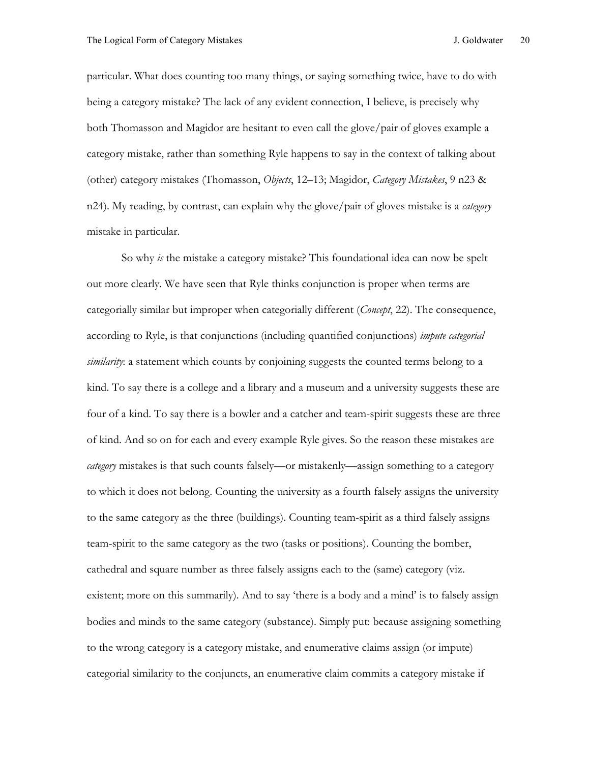particular. What does counting too many things, or saying something twice, have to do with being a category mistake? The lack of any evident connection, I believe, is precisely why both Thomasson and Magidor are hesitant to even call the glove/pair of gloves example a category mistake, rather than something Ryle happens to say in the context of talking about (other) category mistakes (Thomasson, *Objects*, 12–13; Magidor, *Category Mistakes*, 9 n23 & n24). My reading, by contrast, can explain why the glove/pair of gloves mistake is a *category* mistake in particular.

So why *is* the mistake a category mistake? This foundational idea can now be spelt out more clearly. We have seen that Ryle thinks conjunction is proper when terms are categorially similar but improper when categorially different (*Concept*, 22). The consequence, according to Ryle, is that conjunctions (including quantified conjunctions) *impute categorial similarity*: a statement which counts by conjoining suggests the counted terms belong to a kind. To say there is a college and a library and a museum and a university suggests these are four of a kind. To say there is a bowler and a catcher and team-spirit suggests these are three of kind. And so on for each and every example Ryle gives. So the reason these mistakes are *category* mistakes is that such counts falsely—or mistakenly—assign something to a category to which it does not belong. Counting the university as a fourth falsely assigns the university to the same category as the three (buildings). Counting team-spirit as a third falsely assigns team-spirit to the same category as the two (tasks or positions). Counting the bomber, cathedral and square number as three falsely assigns each to the (same) category (viz. existent; more on this summarily). And to say 'there is a body and a mind' is to falsely assign bodies and minds to the same category (substance). Simply put: because assigning something to the wrong category is a category mistake, and enumerative claims assign (or impute) categorial similarity to the conjuncts, an enumerative claim commits a category mistake if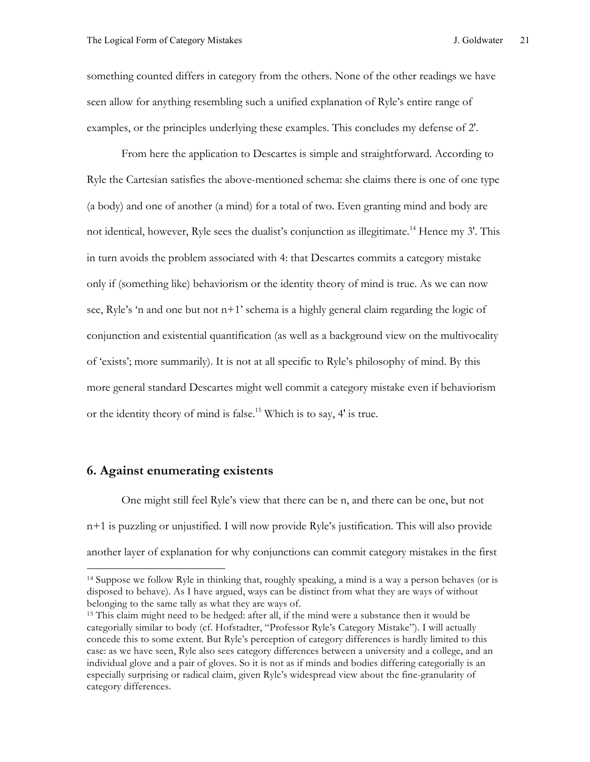something counted differs in category from the others. None of the other readings we have seen allow for anything resembling such a unified explanation of Ryle's entire range of examples, or the principles underlying these examples. This concludes my defense of 2'.

From here the application to Descartes is simple and straightforward. According to Ryle the Cartesian satisfies the above-mentioned schema: she claims there is one of one type (a body) and one of another (a mind) for a total of two. Even granting mind and body are not identical, however, Ryle sees the dualist's conjunction as illegitimate.<sup>14</sup> Hence my 3'. This in turn avoids the problem associated with 4: that Descartes commits a category mistake only if (something like) behaviorism or the identity theory of mind is true. As we can now see, Ryle's 'n and one but not n+1' schema is a highly general claim regarding the logic of conjunction and existential quantification (as well as a background view on the multivocality of 'exists'; more summarily). It is not at all specific to Ryle's philosophy of mind. By this more general standard Descartes might well commit a category mistake even if behaviorism or the identity theory of mind is false.<sup>15</sup> Which is to say, 4' is true.

## **6. Against enumerating existents**

 

One might still feel Ryle's view that there can be n, and there can be one, but not n+1 is puzzling or unjustified. I will now provide Ryle's justification. This will also provide another layer of explanation for why conjunctions can commit category mistakes in the first

<sup>14</sup> Suppose we follow Ryle in thinking that, roughly speaking, a mind is a way a person behaves (or is disposed to behave). As I have argued, ways can be distinct from what they are ways of without belonging to the same tally as what they are ways of.

<sup>15</sup> This claim might need to be hedged: after all, if the mind were a substance then it would be categorially similar to body (cf. Hofstadter, "Professor Ryle's Category Mistake"). I will actually concede this to some extent. But Ryle's perception of category differences is hardly limited to this case: as we have seen, Ryle also sees category differences between a university and a college, and an individual glove and a pair of gloves. So it is not as if minds and bodies differing categorially is an especially surprising or radical claim, given Ryle's widespread view about the fine-granularity of category differences.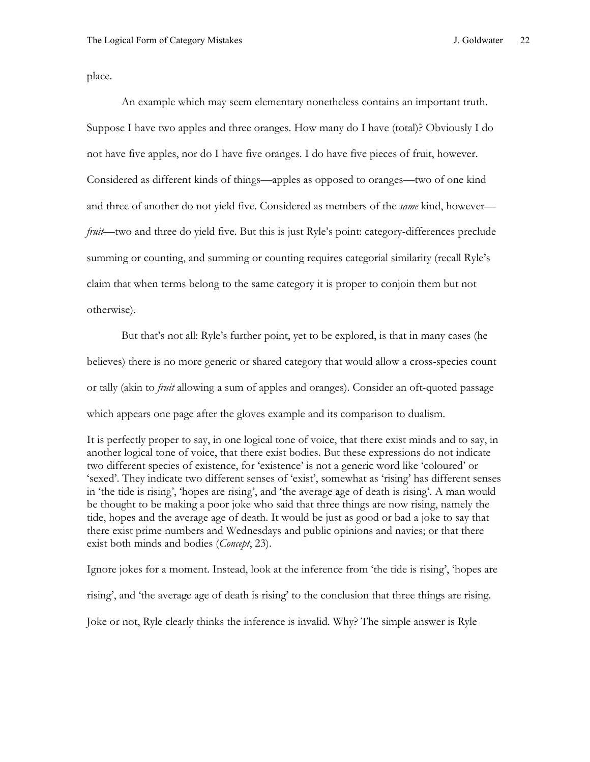place.

An example which may seem elementary nonetheless contains an important truth. Suppose I have two apples and three oranges. How many do I have (total)? Obviously I do not have five apples, nor do I have five oranges. I do have five pieces of fruit, however. Considered as different kinds of things—apples as opposed to oranges—two of one kind and three of another do not yield five. Considered as members of the *same* kind, however *fruit*—two and three do yield five. But this is just Ryle's point: category-differences preclude summing or counting, and summing or counting requires categorial similarity (recall Ryle's claim that when terms belong to the same category it is proper to conjoin them but not otherwise).

But that's not all: Ryle's further point, yet to be explored, is that in many cases (he believes) there is no more generic or shared category that would allow a cross-species count or tally (akin to *fruit* allowing a sum of apples and oranges). Consider an oft-quoted passage which appears one page after the gloves example and its comparison to dualism.

It is perfectly proper to say, in one logical tone of voice, that there exist minds and to say, in another logical tone of voice, that there exist bodies. But these expressions do not indicate two different species of existence, for 'existence' is not a generic word like 'coloured' or 'sexed'. They indicate two different senses of 'exist', somewhat as 'rising' has different senses in 'the tide is rising', 'hopes are rising', and 'the average age of death is rising'. A man would be thought to be making a poor joke who said that three things are now rising, namely the tide, hopes and the average age of death. It would be just as good or bad a joke to say that there exist prime numbers and Wednesdays and public opinions and navies; or that there exist both minds and bodies (*Concept*, 23).

Ignore jokes for a moment. Instead, look at the inference from 'the tide is rising', 'hopes are rising', and 'the average age of death is rising' to the conclusion that three things are rising. Joke or not, Ryle clearly thinks the inference is invalid. Why? The simple answer is Ryle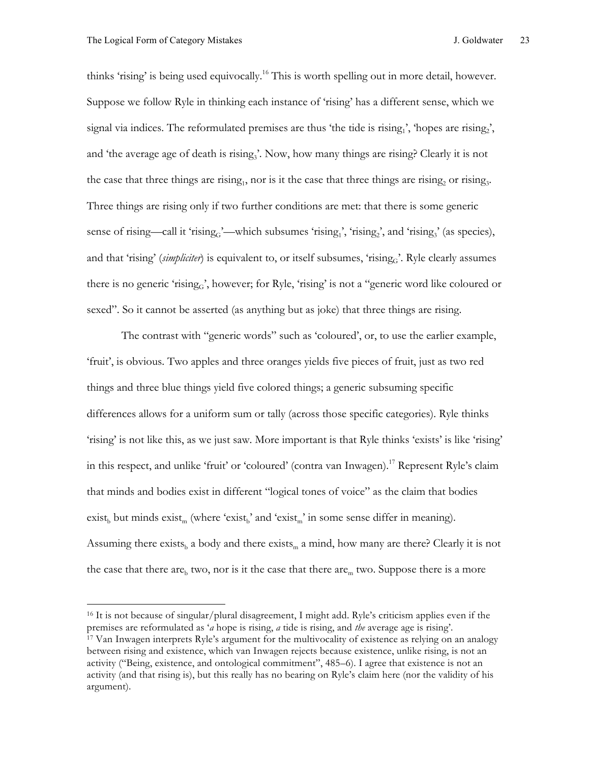thinks 'rising' is being used equivocally.16 This is worth spelling out in more detail, however. Suppose we follow Ryle in thinking each instance of 'rising' has a different sense, which we signal via indices. The reformulated premises are thus 'the tide is  $\pi$ ising<sub>1</sub>', 'hopes are  $\pi$ ising<sub>2</sub>', and 'the average age of death is rising $_3$ '. Now, how many things are rising? Clearly it is not the case that three things are rising<sub>1</sub>, nor is it the case that three things are rising<sub>2</sub> or rising<sub>3</sub>. Three things are rising only if two further conditions are met: that there is some generic sense of rising—call it 'rising<sub>G</sub>'—which subsumes 'rising<sub>1</sub>', 'rising<sub>2</sub>', and 'rising<sub>3</sub>' (as species), and that 'rising' (*simpliciter*) is equivalent to, or itself subsumes, 'rising<sub>G</sub>'. Ryle clearly assumes there is no generic 'rising<sub>G</sub>', however; for Ryle, 'rising' is not a "generic word like coloured or sexed". So it cannot be asserted (as anything but as joke) that three things are rising.

The contrast with "generic words" such as 'coloured', or, to use the earlier example, 'fruit', is obvious. Two apples and three oranges yields five pieces of fruit, just as two red things and three blue things yield five colored things; a generic subsuming specific differences allows for a uniform sum or tally (across those specific categories). Ryle thinks 'rising' is not like this, as we just saw. More important is that Ryle thinks 'exists' is like 'rising' in this respect, and unlike 'fruit' or 'coloured' (contra van Inwagen).17 Represent Ryle's claim that minds and bodies exist in different "logical tones of voice" as the claim that bodies exist<sub>b</sub> but minds exist<sub>m</sub> (where 'exist<sub>b</sub>' and 'exist<sub>m</sub>' in some sense differ in meaning). Assuming there exists<sub>b</sub> a body and there exists<sub>m</sub> a mind, how many are there? Clearly it is not the case that there are, two, nor is it the case that there are, two. Suppose there is a more

<sup>16</sup> It is not because of singular/plural disagreement, I might add. Ryle's criticism applies even if the premises are reformulated as '*a* hope is rising, *a* tide is rising, and *the* average age is rising'. 17 Van Inwagen interprets Ryle's argument for the multivocality of existence as relying on an analogy between rising and existence, which van Inwagen rejects because existence, unlike rising, is not an activity ("Being, existence, and ontological commitment", 485–6). I agree that existence is not an activity (and that rising is), but this really has no bearing on Ryle's claim here (nor the validity of his argument).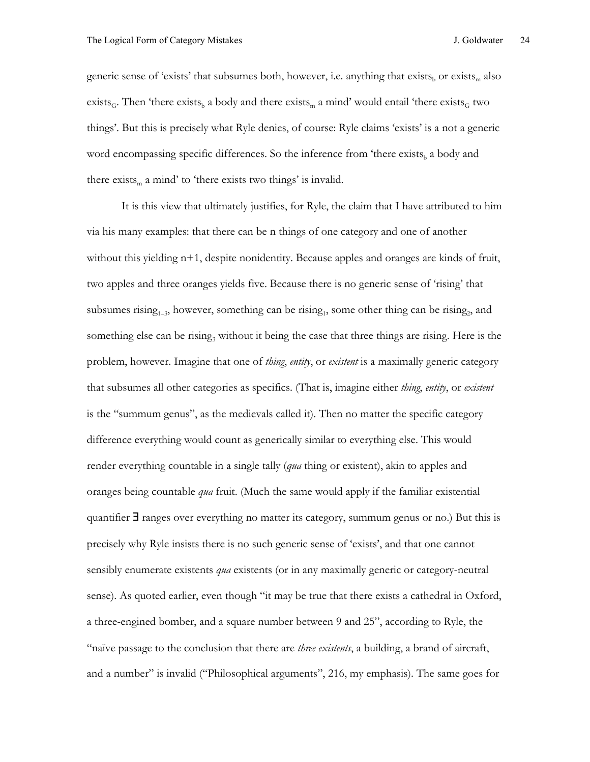generic sense of 'exists' that subsumes both, however, i.e. anything that exists<sub>h</sub> or exists<sub>m</sub> also exists<sub>G</sub>. Then 'there exists<sub>b</sub> a body and there exists<sub>m</sub> a mind' would entail 'there exists<sub>G</sub> two things'. But this is precisely what Ryle denies, of course: Ryle claims 'exists' is a not a generic word encompassing specific differences. So the inference from 'there exists<sub>b</sub> a body and there exists<sub>m</sub> a mind' to 'there exists two things' is invalid.

It is this view that ultimately justifies, for Ryle, the claim that I have attributed to him via his many examples: that there can be n things of one category and one of another without this yielding n+1, despite nonidentity. Because apples and oranges are kinds of fruit, two apples and three oranges yields five. Because there is no generic sense of 'rising' that subsumes rising<sub>1-3</sub>, however, something can be rising<sub>1</sub>, some other thing can be rising<sub>2</sub>, and something else can be rising<sub>3</sub> without it being the case that three things are rising. Here is the problem, however. Imagine that one of *thing*, *entity*, or *existent* is a maximally generic category that subsumes all other categories as specifics. (That is, imagine either *thing*, *entity*, or *existent* is the "summum genus", as the medievals called it). Then no matter the specific category difference everything would count as generically similar to everything else. This would render everything countable in a single tally (*qua* thing or existent), akin to apples and oranges being countable *qua* fruit. (Much the same would apply if the familiar existential quantifier ∃ ranges over everything no matter its category, summum genus or no.) But this is precisely why Ryle insists there is no such generic sense of 'exists', and that one cannot sensibly enumerate existents *qua* existents (or in any maximally generic or category-neutral sense). As quoted earlier, even though "it may be true that there exists a cathedral in Oxford, a three-engined bomber, and a square number between 9 and 25", according to Ryle, the "naïve passage to the conclusion that there are *three existents*, a building, a brand of aircraft, and a number" is invalid ("Philosophical arguments", 216, my emphasis). The same goes for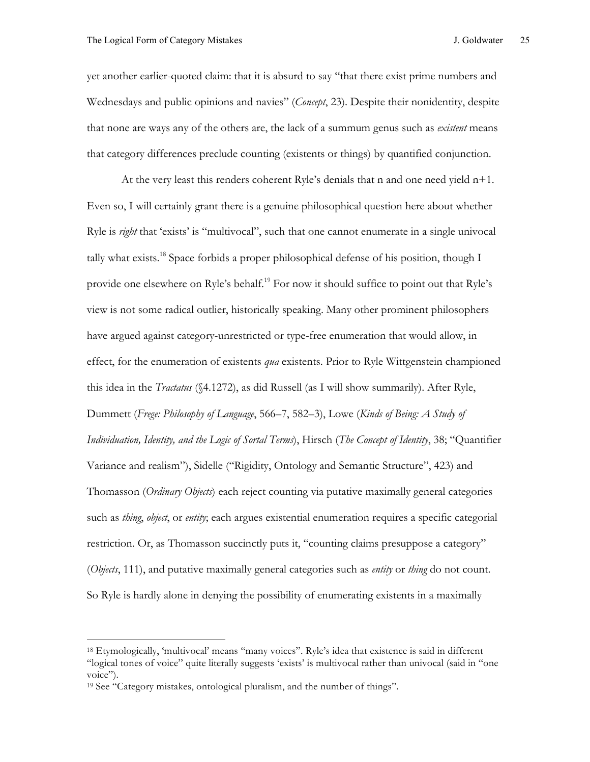yet another earlier-quoted claim: that it is absurd to say "that there exist prime numbers and Wednesdays and public opinions and navies" (*Concept*, 23). Despite their nonidentity, despite that none are ways any of the others are, the lack of a summum genus such as *existent* means that category differences preclude counting (existents or things) by quantified conjunction.

At the very least this renders coherent Ryle's denials that n and one need yield n+1. Even so, I will certainly grant there is a genuine philosophical question here about whether Ryle is *right* that 'exists' is "multivocal", such that one cannot enumerate in a single univocal tally what exists.18 Space forbids a proper philosophical defense of his position, though I provide one elsewhere on Ryle's behalf.<sup>19</sup> For now it should suffice to point out that Ryle's view is not some radical outlier, historically speaking. Many other prominent philosophers have argued against category-unrestricted or type-free enumeration that would allow, in effect, for the enumeration of existents *qua* existents. Prior to Ryle Wittgenstein championed this idea in the *Tractatus* (§4.1272), as did Russell (as I will show summarily). After Ryle, Dummett (*Frege: Philosophy of Language*, 566–7, 582–3), Lowe (*Kinds of Being: A Study of Individuation, Identity, and the Logic of Sortal Terms*), Hirsch (*The Concept of Identity*, 38; "Quantifier Variance and realism"), Sidelle ("Rigidity, Ontology and Semantic Structure", 423) and Thomasson (*Ordinary Objects*) each reject counting via putative maximally general categories such as *thing*, *object*, or *entity*; each argues existential enumeration requires a specific categorial restriction. Or, as Thomasson succinctly puts it, "counting claims presuppose a category" (*Objects*, 111), and putative maximally general categories such as *entity* or *thing* do not count. So Ryle is hardly alone in denying the possibility of enumerating existents in a maximally

<sup>18</sup> Etymologically, 'multivocal' means "many voices". Ryle's idea that existence is said in different "logical tones of voice" quite literally suggests 'exists' is multivocal rather than univocal (said in "one voice").

<sup>19</sup> See "Category mistakes, ontological pluralism, and the number of things".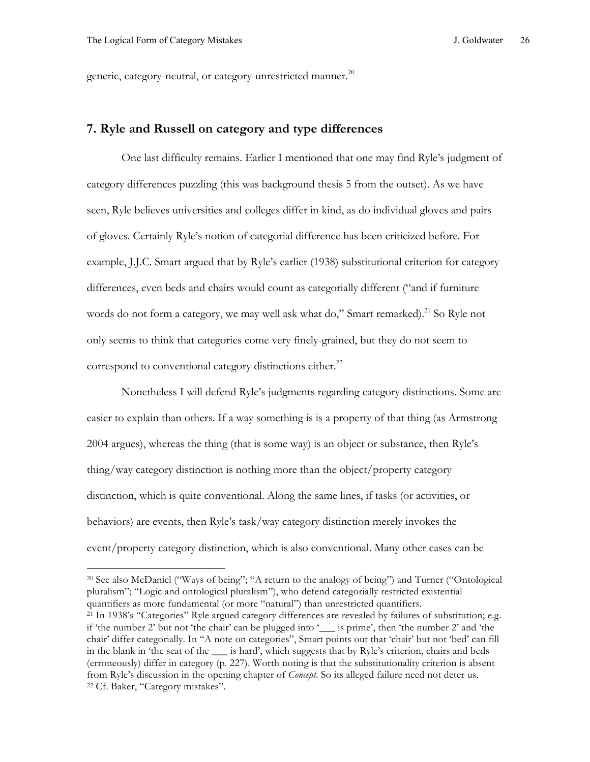generic, category-neutral, or category-unrestricted manner.<sup>20</sup>

## **7. Ryle and Russell on category and type differences**

One last difficulty remains. Earlier I mentioned that one may find Ryle's judgment of category differences puzzling (this was background thesis 5 from the outset). As we have seen, Ryle believes universities and colleges differ in kind, as do individual gloves and pairs of gloves. Certainly Ryle's notion of categorial difference has been criticized before. For example, J.J.C. Smart argued that by Ryle's earlier (1938) substitutional criterion for category differences, even beds and chairs would count as categorially different ("and if furniture words do not form a category, we may well ask what do," Smart remarked).<sup>21</sup> So Ryle not only seems to think that categories come very finely-grained, but they do not seem to correspond to conventional category distinctions either.<sup>22</sup>

Nonetheless I will defend Ryle's judgments regarding category distinctions. Some are easier to explain than others. If a way something is is a property of that thing (as Armstrong 2004 argues), whereas the thing (that is some way) is an object or substance, then Ryle's thing/way category distinction is nothing more than the object/property category distinction, which is quite conventional. Along the same lines, if tasks (or activities, or behaviors) are events, then Ryle's task/way category distinction merely invokes the event/property category distinction, which is also conventional. Many other cases can be

20 See also McDaniel ("Ways of being"; "A return to the analogy of being") and Turner ("Ontological pluralism"; "Logic and ontological pluralism"), who defend categorially restricted existential quantifiers as more fundamental (or more "natural") than unrestricted quantifiers.

<sup>21</sup> In 1938's "Categories" Ryle argued category differences are revealed by failures of substitution; e.g. if 'the number 2' but not 'the chair' can be plugged into '\_\_\_ is prime', then 'the number 2' and 'the chair' differ categorially. In "A note on categories", Smart points out that 'chair' but not 'bed' can fill in the blank in 'the seat of the \_\_\_ is hard', which suggests that by Ryle's criterion, chairs and beds (erroneously) differ in category (p. 227). Worth noting is that the substitutionality criterion is absent from Ryle's discussion in the opening chapter of *Concept*. So its alleged failure need not deter us. 22 Cf. Baker, "Category mistakes".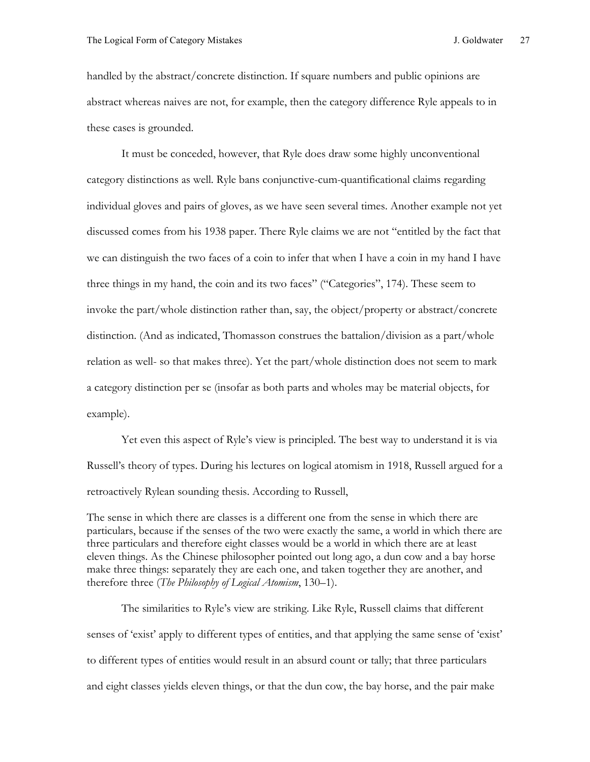handled by the abstract/concrete distinction. If square numbers and public opinions are abstract whereas naives are not, for example, then the category difference Ryle appeals to in these cases is grounded.

It must be conceded, however, that Ryle does draw some highly unconventional category distinctions as well. Ryle bans conjunctive-cum-quantificational claims regarding individual gloves and pairs of gloves, as we have seen several times. Another example not yet discussed comes from his 1938 paper. There Ryle claims we are not "entitled by the fact that we can distinguish the two faces of a coin to infer that when I have a coin in my hand I have three things in my hand, the coin and its two faces" ("Categories", 174). These seem to invoke the part/whole distinction rather than, say, the object/property or abstract/concrete distinction. (And as indicated, Thomasson construes the battalion/division as a part/whole relation as well- so that makes three). Yet the part/whole distinction does not seem to mark a category distinction per se (insofar as both parts and wholes may be material objects, for example).

Yet even this aspect of Ryle's view is principled. The best way to understand it is via Russell's theory of types. During his lectures on logical atomism in 1918, Russell argued for a retroactively Rylean sounding thesis. According to Russell,

The sense in which there are classes is a different one from the sense in which there are particulars, because if the senses of the two were exactly the same, a world in which there are three particulars and therefore eight classes would be a world in which there are at least eleven things. As the Chinese philosopher pointed out long ago, a dun cow and a bay horse make three things: separately they are each one, and taken together they are another, and therefore three (*The Philosophy of Logical Atomism*, 130–1).

The similarities to Ryle's view are striking. Like Ryle, Russell claims that different senses of 'exist' apply to different types of entities, and that applying the same sense of 'exist' to different types of entities would result in an absurd count or tally; that three particulars and eight classes yields eleven things, or that the dun cow, the bay horse, and the pair make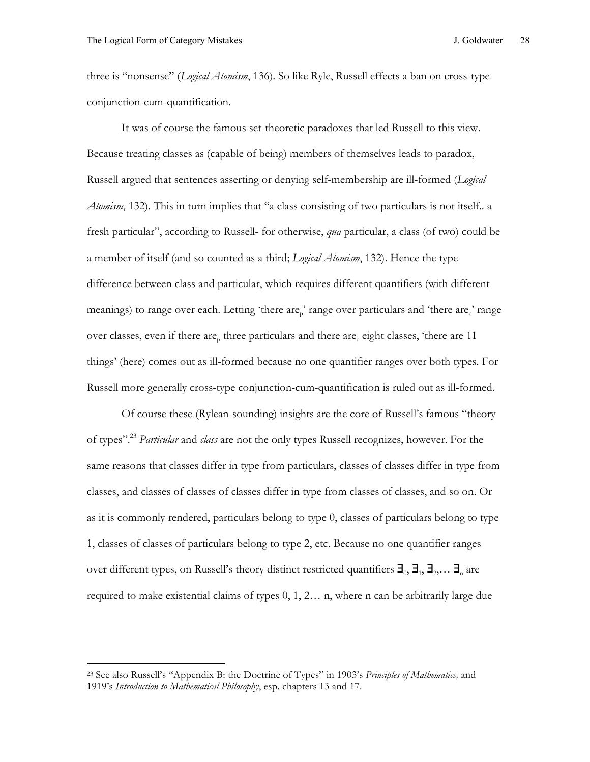three is "nonsense" (*Logical Atomism*, 136). So like Ryle, Russell effects a ban on cross-type conjunction-cum-quantification.

It was of course the famous set-theoretic paradoxes that led Russell to this view. Because treating classes as (capable of being) members of themselves leads to paradox, Russell argued that sentences asserting or denying self-membership are ill-formed (*Logical Atomism*, 132). This in turn implies that "a class consisting of two particulars is not itself.. a fresh particular", according to Russell- for otherwise, *qua* particular, a class (of two) could be a member of itself (and so counted as a third; *Logical Atomism*, 132). Hence the type difference between class and particular, which requires different quantifiers (with different meanings) to range over each. Letting 'there are,' range over particulars and 'there are,' range over classes, even if there are, three particulars and there are eight classes, 'there are  $11$ things' (here) comes out as ill-formed because no one quantifier ranges over both types. For Russell more generally cross-type conjunction-cum-quantification is ruled out as ill-formed.

Of course these (Rylean-sounding) insights are the core of Russell's famous "theory of types".23 *Particular* and *class* are not the only types Russell recognizes, however. For the same reasons that classes differ in type from particulars, classes of classes differ in type from classes, and classes of classes of classes differ in type from classes of classes, and so on. Or as it is commonly rendered, particulars belong to type 0, classes of particulars belong to type 1, classes of classes of particulars belong to type 2, etc. Because no one quantifier ranges over different types, on Russell's theory distinct restricted quantifiers  $\mathbf{\mathbf{I}}_0$ ,  $\mathbf{\mathbf{I}}_1$ ,  $\mathbf{\mathbf{I}}_2$ ,...  $\mathbf{\mathbf{I}}_n$  are required to make existential claims of types 0, 1, 2… n, where n can be arbitrarily large due

<sup>23</sup> See also Russell's "Appendix B: the Doctrine of Types" in 1903's *Principles of Mathematics,* and 1919's *Introduction to Mathematical Philosophy*, esp. chapters 13 and 17.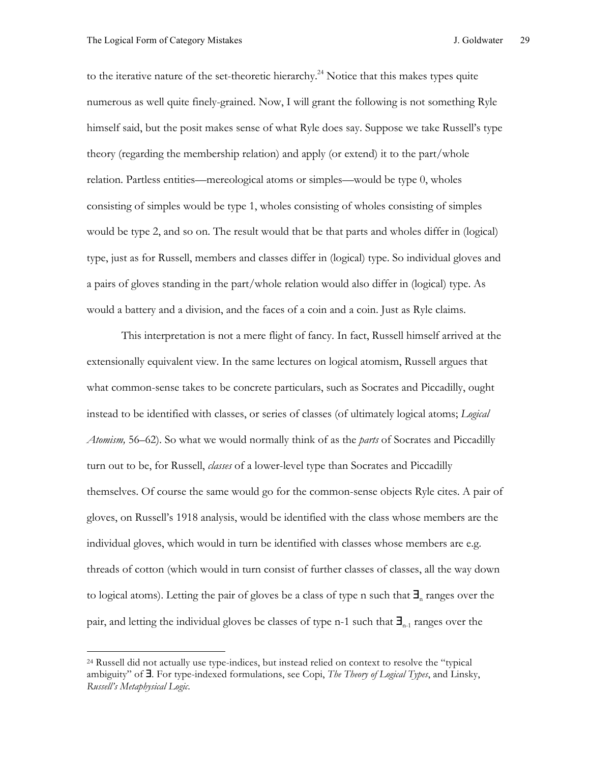to the iterative nature of the set-theoretic hierarchy.<sup>24</sup> Notice that this makes types quite numerous as well quite finely-grained. Now, I will grant the following is not something Ryle himself said, but the posit makes sense of what Ryle does say. Suppose we take Russell's type theory (regarding the membership relation) and apply (or extend) it to the part/whole relation. Partless entities—mereological atoms or simples—would be type 0, wholes consisting of simples would be type 1, wholes consisting of wholes consisting of simples would be type 2, and so on. The result would that be that parts and wholes differ in (logical) type, just as for Russell, members and classes differ in (logical) type. So individual gloves and a pairs of gloves standing in the part/whole relation would also differ in (logical) type. As would a battery and a division, and the faces of a coin and a coin. Just as Ryle claims.

This interpretation is not a mere flight of fancy. In fact, Russell himself arrived at the extensionally equivalent view. In the same lectures on logical atomism, Russell argues that what common-sense takes to be concrete particulars, such as Socrates and Piccadilly, ought instead to be identified with classes, or series of classes (of ultimately logical atoms; *Logical Atomism,* 56–62). So what we would normally think of as the *parts* of Socrates and Piccadilly turn out to be, for Russell, *classes* of a lower-level type than Socrates and Piccadilly themselves. Of course the same would go for the common-sense objects Ryle cites. A pair of gloves, on Russell's 1918 analysis, would be identified with the class whose members are the individual gloves, which would in turn be identified with classes whose members are e.g. threads of cotton (which would in turn consist of further classes of classes, all the way down to logical atoms). Letting the pair of gloves be a class of type n such that  $\exists_{n}$  ranges over the pair, and letting the individual gloves be classes of type n-1 such that  $\exists_{n-1}$  ranges over the

<sup>24</sup> Russell did not actually use type-indices, but instead relied on context to resolve the "typical ambiguity" of ∃. For type-indexed formulations, see Copi, *The Theory of Logical Types*, and Linsky, *Russell's Metaphysical Logic*.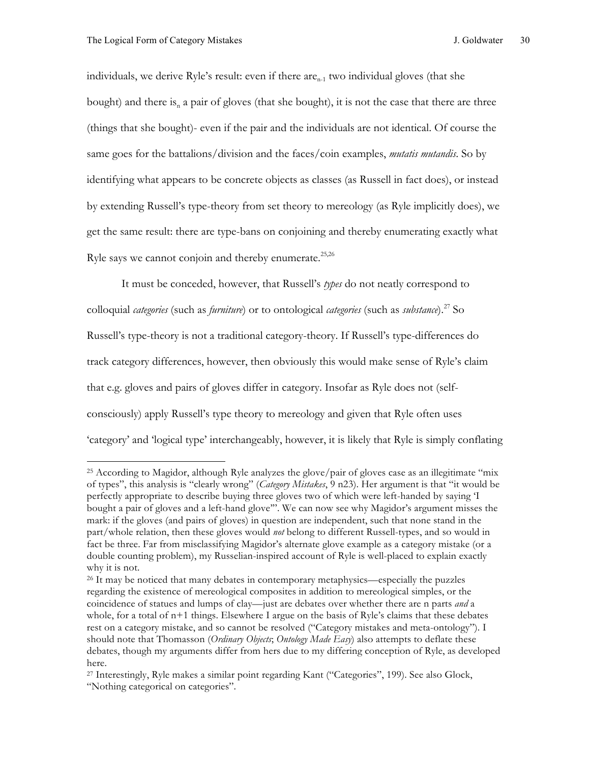individuals, we derive Ryle's result: even if there are $_{n-1}$  two individual gloves (that she bought) and there is, a pair of gloves (that she bought), it is not the case that there are three (things that she bought)- even if the pair and the individuals are not identical. Of course the same goes for the battalions/division and the faces/coin examples, *mutatis mutandis*. So by identifying what appears to be concrete objects as classes (as Russell in fact does), or instead by extending Russell's type-theory from set theory to mereology (as Ryle implicitly does), we get the same result: there are type-bans on conjoining and thereby enumerating exactly what Ryle says we cannot conjoin and thereby enumerate.<sup>25,26</sup>

It must be conceded, however, that Russell's *types* do not neatly correspond to colloquial *categories* (such as *furniture*) or to ontological *categories* (such as *substance*).27 So Russell's type-theory is not a traditional category-theory. If Russell's type-differences do track category differences, however, then obviously this would make sense of Ryle's claim that e.g. gloves and pairs of gloves differ in category. Insofar as Ryle does not (selfconsciously) apply Russell's type theory to mereology and given that Ryle often uses 'category' and 'logical type' interchangeably, however, it is likely that Ryle is simply conflating

<sup>25</sup> According to Magidor, although Ryle analyzes the glove/pair of gloves case as an illegitimate "mix of types", this analysis is "clearly wrong" (*Category Mistakes*, 9 n23). Her argument is that "it would be perfectly appropriate to describe buying three gloves two of which were left-handed by saying 'I bought a pair of gloves and a left-hand glove'". We can now see why Magidor's argument misses the mark: if the gloves (and pairs of gloves) in question are independent, such that none stand in the part/whole relation, then these gloves would *not* belong to different Russell-types, and so would in fact be three. Far from misclassifying Magidor's alternate glove example as a category mistake (or a double counting problem), my Russelian-inspired account of Ryle is well-placed to explain exactly why it is not.

<sup>26</sup> It may be noticed that many debates in contemporary metaphysics—especially the puzzles regarding the existence of mereological composites in addition to mereological simples, or the coincidence of statues and lumps of clay—just are debates over whether there are n parts *and* a whole, for a total of  $n+1$  things. Elsewhere I argue on the basis of Ryle's claims that these debates rest on a category mistake, and so cannot be resolved ("Category mistakes and meta-ontology"). I should note that Thomasson (*Ordinary Objects*; *Ontology Made Easy*) also attempts to deflate these debates, though my arguments differ from hers due to my differing conception of Ryle, as developed here.

<sup>27</sup> Interestingly, Ryle makes a similar point regarding Kant ("Categories", 199). See also Glock, "Nothing categorical on categories".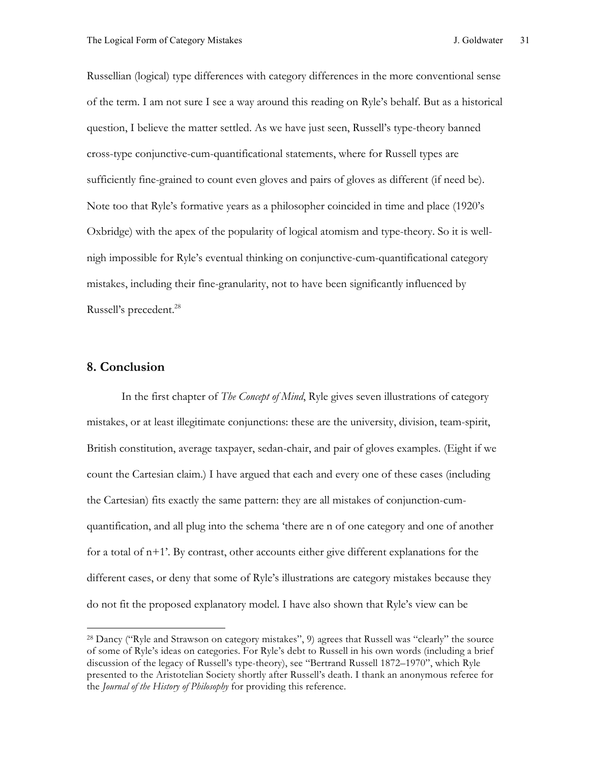Russellian (logical) type differences with category differences in the more conventional sense of the term. I am not sure I see a way around this reading on Ryle's behalf. But as a historical question, I believe the matter settled. As we have just seen, Russell's type-theory banned cross-type conjunctive-cum-quantificational statements, where for Russell types are sufficiently fine-grained to count even gloves and pairs of gloves as different (if need be). Note too that Ryle's formative years as a philosopher coincided in time and place (1920's Oxbridge) with the apex of the popularity of logical atomism and type-theory. So it is wellnigh impossible for Ryle's eventual thinking on conjunctive-cum-quantificational category mistakes, including their fine-granularity, not to have been significantly influenced by Russell's precedent.28

## **8. Conclusion**

 

In the first chapter of *The Concept of Mind*, Ryle gives seven illustrations of category mistakes, or at least illegitimate conjunctions: these are the university, division, team-spirit, British constitution, average taxpayer, sedan-chair, and pair of gloves examples. (Eight if we count the Cartesian claim.) I have argued that each and every one of these cases (including the Cartesian) fits exactly the same pattern: they are all mistakes of conjunction-cumquantification, and all plug into the schema 'there are n of one category and one of another for a total of n+1'. By contrast, other accounts either give different explanations for the different cases, or deny that some of Ryle's illustrations are category mistakes because they do not fit the proposed explanatory model. I have also shown that Ryle's view can be

<sup>28</sup> Dancy ("Ryle and Strawson on category mistakes", 9) agrees that Russell was "clearly" the source of some of Ryle's ideas on categories. For Ryle's debt to Russell in his own words (including a brief discussion of the legacy of Russell's type-theory), see "Bertrand Russell 1872–1970", which Ryle presented to the Aristotelian Society shortly after Russell's death. I thank an anonymous referee for the *Journal of the History of Philosophy* for providing this reference.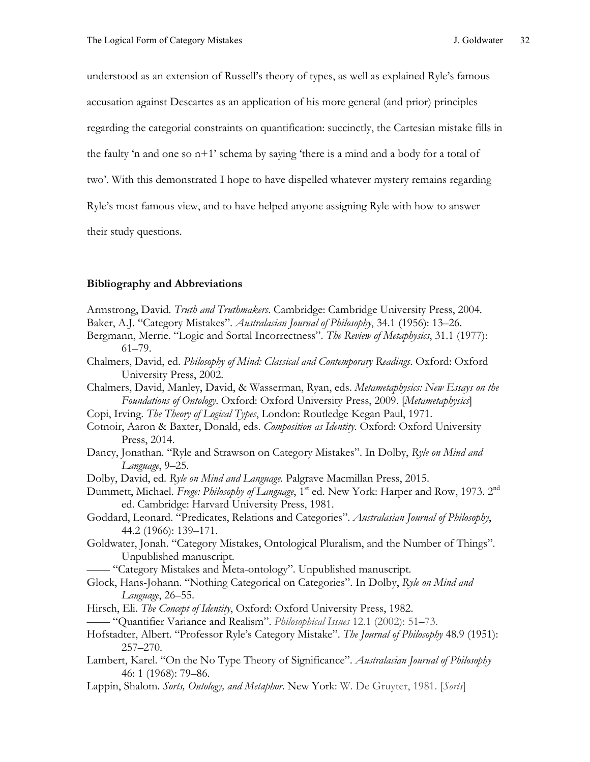understood as an extension of Russell's theory of types, as well as explained Ryle's famous

accusation against Descartes as an application of his more general (and prior) principles

regarding the categorial constraints on quantification: succinctly, the Cartesian mistake fills in

the faulty 'n and one so n+1' schema by saying 'there is a mind and a body for a total of

two'. With this demonstrated I hope to have dispelled whatever mystery remains regarding

Ryle's most famous view, and to have helped anyone assigning Ryle with how to answer

their study questions.

## **Bibliography and Abbreviations**

Armstrong, David. *Truth and Truthmakers*. Cambridge: Cambridge University Press, 2004.

- Baker, A.J. "Category Mistakes". *Australasian Journal of Philosophy*, 34.1 (1956): 13–26.
- Bergmann, Merrie. "Logic and Sortal Incorrectness". *The Review of Metaphysics*, 31.1 (1977): 61–79.
- Chalmers, David, ed. *Philosophy of Mind: Classical and Contemporary Readings*. Oxford: Oxford University Press, 2002.

Chalmers, David, Manley, David, & Wasserman, Ryan, eds. *Metametaphysics: New Essays on the Foundations of Ontology*. Oxford: Oxford University Press, 2009. [*Metametaphysics*]

- Cotnoir, Aaron & Baxter, Donald, eds. *Composition as Identity*. Oxford: Oxford University Press, 2014.
- Dancy, Jonathan. "Ryle and Strawson on Category Mistakes". In Dolby, *Ryle on Mind and Language*, 9–25.
- Dolby, David, ed. *Ryle on Mind and Language*. Palgrave Macmillan Press, 2015.
- Dummett, Michael. *Frege: Philosophy of Language*, 1<sup>st</sup> ed. New York: Harper and Row, 1973. 2<sup>nd</sup> ed. Cambridge: Harvard University Press, 1981.

Goddard, Leonard. "Predicates, Relations and Categories". *Australasian Journal of Philosophy*, 44.2 (1966): 139–171.

Goldwater, Jonah. "Category Mistakes, Ontological Pluralism, and the Number of Things". Unpublished manuscript.

—— "Category Mistakes and Meta-ontology". Unpublished manuscript.

Glock, Hans-Johann. "Nothing Categorical on Categories". In Dolby, *Ryle on Mind and Language*, 26–55.

Hirsch, Eli. *The Concept of Identity*, Oxford: Oxford University Press, 1982.

—— "Quantifier Variance and Realism". *Philosophical Issues* 12.1 (2002): 51–73.

- Hofstadter, Albert. "Professor Ryle's Category Mistake". *The Journal of Philosophy* 48.9 (1951): 257–270.
- Lambert, Karel. "On the No Type Theory of Significance". *Australasian Journal of Philosophy* 46: 1 (1968): 79–86.
- Lappin, Shalom. *Sorts, Ontology, and Metaphor*. New York: W. De Gruyter, 1981. [*Sorts*]

Copi, Irving. *The Theory of Logical Types*, London: Routledge Kegan Paul, 1971.